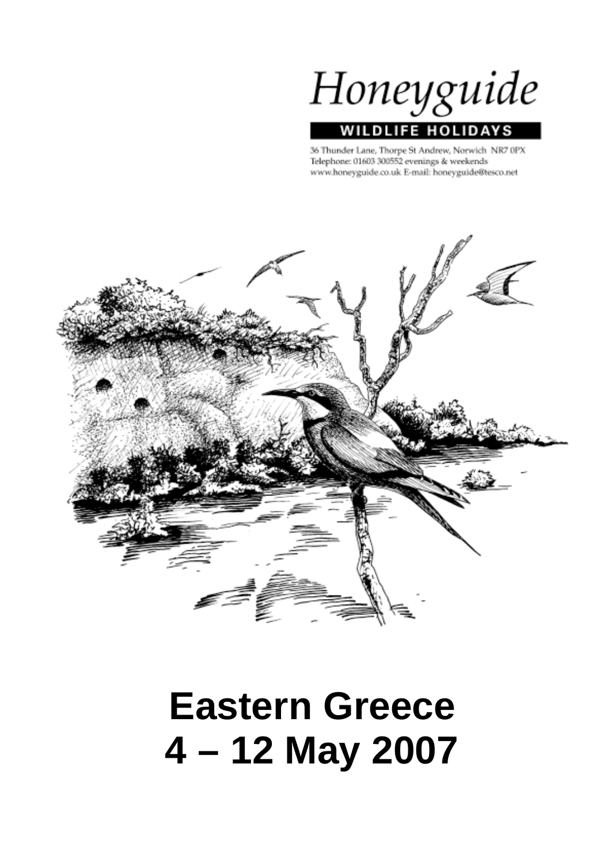Honeyguide

# WILDLIFE HOLIDA

36 Thunder Lane, Thorpe St Andrew, Norwich NR7 0PX Telephone: 01603 300552 evenings & weekends www.honeyguide.co.uk E-mail: honeyguide@tesco.net



# **Eastern Greece 4 – 12 May 2007**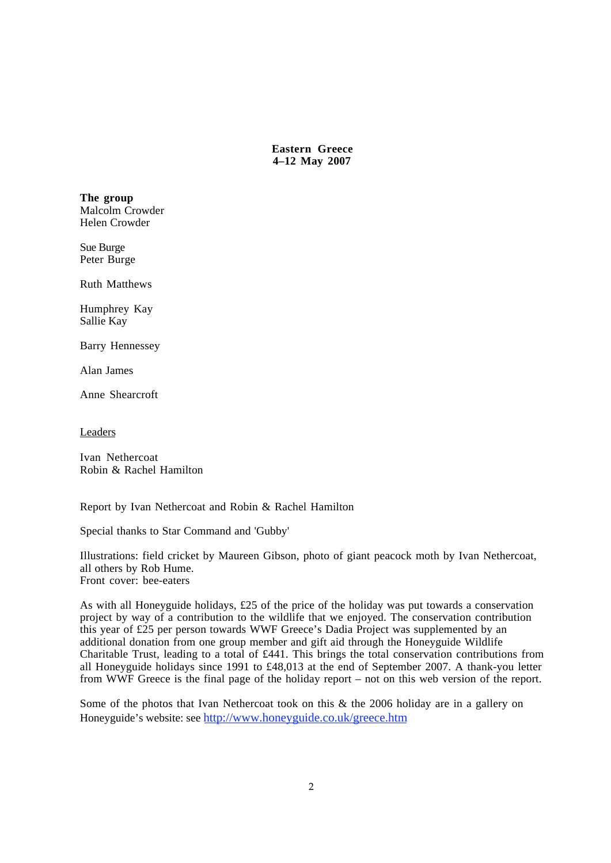**Eastern Greece 4–12 May 2007**

**The group** Malcolm Crowder Helen Crowder

Sue Burge Peter Burge

Ruth Matthews

Humphrey Kay Sallie Kay

Barry Hennessey

Alan James

Anne Shearcroft

Leaders

Ivan Nethercoat Robin & Rachel Hamilton

Report by Ivan Nethercoat and Robin & Rachel Hamilton

Special thanks to Star Command and 'Gubby'

Illustrations: field cricket by Maureen Gibson, photo of giant peacock moth by Ivan Nethercoat, all others by Rob Hume. Front cover: bee-eaters

As with all Honeyguide holidays, £25 of the price of the holiday was put towards a conservation project by way of a contribution to the wildlife that we enjoyed. The conservation contribution this year of £25 per person towards WWF Greece's Dadia Project was supplemented by an additional donation from one group member and gift aid through the Honeyguide Wildlife Charitable Trust, leading to a total of £441. This brings the total conservation contributions from all Honeyguide holidays since 1991 to £48,013 at the end of September 2007. A thank-you letter from WWF Greece is the final page of the holiday report – not on this web version of the report.

Some of the photos that Ivan Nethercoat took on this & the 2006 holiday are in a gallery on Honeyguide's website: see http://www.honeyguide.co.uk/greece.htm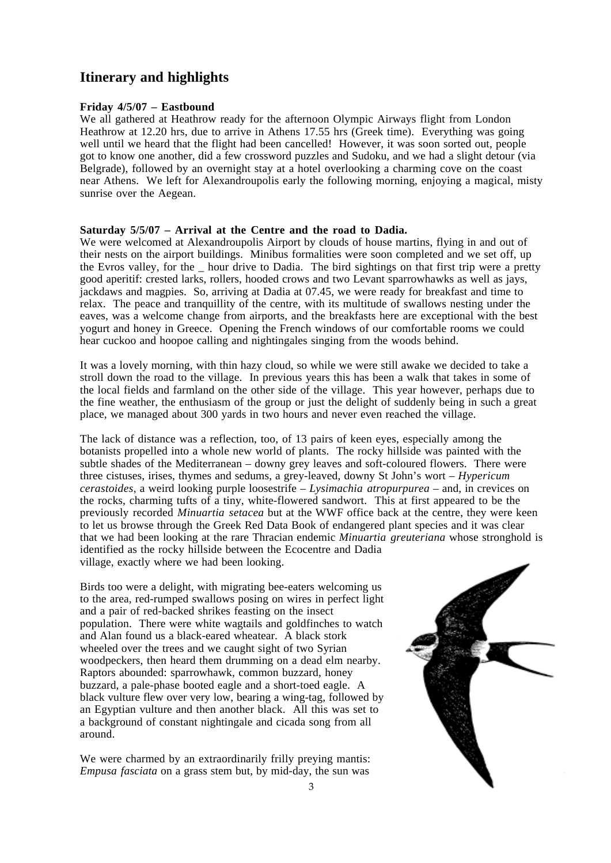# **Itinerary and highlights**

### **Friday 4/5/07 – Eastbound**

We all gathered at Heathrow ready for the afternoon Olympic Airways flight from London Heathrow at 12.20 hrs, due to arrive in Athens 17.55 hrs (Greek time). Everything was going well until we heard that the flight had been cancelled! However, it was soon sorted out, people got to know one another, did a few crossword puzzles and Sudoku, and we had a slight detour (via Belgrade), followed by an overnight stay at a hotel overlooking a charming cove on the coast near Athens. We left for Alexandroupolis early the following morning, enjoying a magical, misty sunrise over the Aegean.

### **Saturday 5/5/07 – Arrival at the Centre and the road to Dadia.**

We were welcomed at Alexandroupolis Airport by clouds of house martins, flying in and out of their nests on the airport buildings. Minibus formalities were soon completed and we set off, up the Evros valley, for the \_ hour drive to Dadia. The bird sightings on that first trip were a pretty good aperitif: crested larks, rollers, hooded crows and two Levant sparrowhawks as well as jays, jackdaws and magpies. So, arriving at Dadia at 07.45, we were ready for breakfast and time to relax. The peace and tranquillity of the centre, with its multitude of swallows nesting under the eaves, was a welcome change from airports, and the breakfasts here are exceptional with the best yogurt and honey in Greece. Opening the French windows of our comfortable rooms we could hear cuckoo and hoopoe calling and nightingales singing from the woods behind.

It was a lovely morning, with thin hazy cloud, so while we were still awake we decided to take a stroll down the road to the village. In previous years this has been a walk that takes in some of the local fields and farmland on the other side of the village. This year however, perhaps due to the fine weather, the enthusiasm of the group or just the delight of suddenly being in such a great place, we managed about 300 yards in two hours and never even reached the village.

The lack of distance was a reflection, too, of 13 pairs of keen eyes, especially among the botanists propelled into a whole new world of plants. The rocky hillside was painted with the subtle shades of the Mediterranean – downy grey leaves and soft-coloured flowers. There were three cistuses, irises, thymes and sedums, a grey-leaved, downy St John's wort – *Hypericum cerastoides*, a weird looking purple loosestrife – *Lysimachia atropurpurea* – and, in crevices on the rocks, charming tufts of a tiny, white-flowered sandwort. This at first appeared to be the previously recorded *Minuartia setacea* but at the WWF office back at the centre, they were keen to let us browse through the Greek Red Data Book of endangered plant species and it was clear that we had been looking at the rare Thracian endemic *Minuartia greuteriana* whose stronghold is identified as the rocky hillside between the Ecocentre and Dadia village, exactly where we had been looking.

Birds too were a delight, with migrating bee-eaters welcoming us to the area, red-rumped swallows posing on wires in perfect light and a pair of red-backed shrikes feasting on the insect population. There were white wagtails and goldfinches to watch and Alan found us a black-eared wheatear. A black stork wheeled over the trees and we caught sight of two Syrian woodpeckers, then heard them drumming on a dead elm nearby. Raptors abounded: sparrowhawk, common buzzard, honey buzzard, a pale-phase booted eagle and a short-toed eagle. A black vulture flew over very low, bearing a wing-tag, followed by an Egyptian vulture and then another black. All this was set to a background of constant nightingale and cicada song from all around.

We were charmed by an extraordinarily frilly preving mantis: *Empusa fasciata* on a grass stem but, by mid-day, the sun was

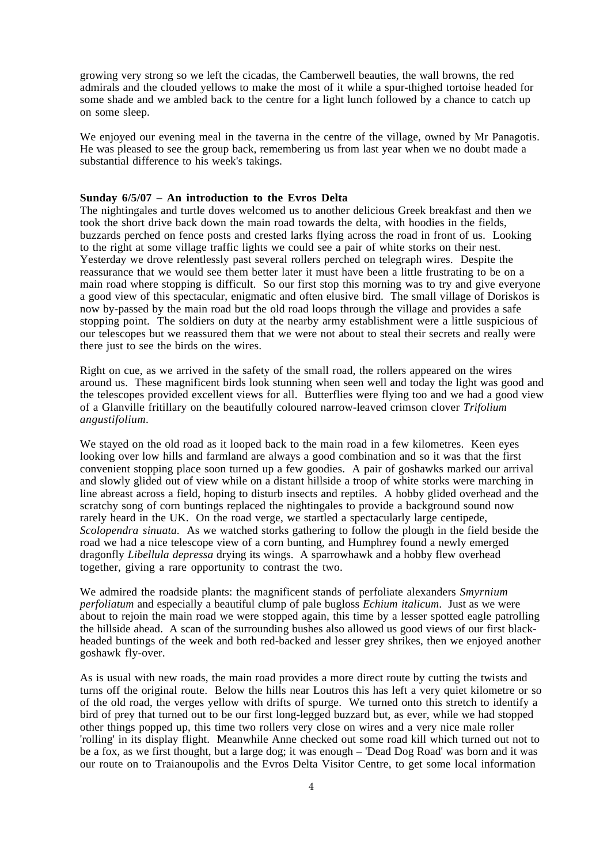growing very strong so we left the cicadas, the Camberwell beauties, the wall browns, the red admirals and the clouded yellows to make the most of it while a spur-thighed tortoise headed for some shade and we ambled back to the centre for a light lunch followed by a chance to catch up on some sleep.

We enjoyed our evening meal in the taverna in the centre of the village, owned by Mr Panagotis. He was pleased to see the group back, remembering us from last year when we no doubt made a substantial difference to his week's takings.

### **Sunday 6/5/07 – An introduction to the Evros Delta**

The nightingales and turtle doves welcomed us to another delicious Greek breakfast and then we took the short drive back down the main road towards the delta, with hoodies in the fields, buzzards perched on fence posts and crested larks flying across the road in front of us. Looking to the right at some village traffic lights we could see a pair of white storks on their nest. Yesterday we drove relentlessly past several rollers perched on telegraph wires. Despite the reassurance that we would see them better later it must have been a little frustrating to be on a main road where stopping is difficult. So our first stop this morning was to try and give everyone a good view of this spectacular, enigmatic and often elusive bird. The small village of Doriskos is now by-passed by the main road but the old road loops through the village and provides a safe stopping point. The soldiers on duty at the nearby army establishment were a little suspicious of our telescopes but we reassured them that we were not about to steal their secrets and really were there just to see the birds on the wires.

Right on cue, as we arrived in the safety of the small road, the rollers appeared on the wires around us. These magnificent birds look stunning when seen well and today the light was good and the telescopes provided excellent views for all. Butterflies were flying too and we had a good view of a Glanville fritillary on the beautifully coloured narrow-leaved crimson clover *Trifolium angustifolium*.

We stayed on the old road as it looped back to the main road in a few kilometres. Keen eyes looking over low hills and farmland are always a good combination and so it was that the first convenient stopping place soon turned up a few goodies. A pair of goshawks marked our arrival and slowly glided out of view while on a distant hillside a troop of white storks were marching in line abreast across a field, hoping to disturb insects and reptiles. A hobby glided overhead and the scratchy song of corn buntings replaced the nightingales to provide a background sound now rarely heard in the UK. On the road verge, we startled a spectacularly large centipede, *Scolopendra sinuata.* As we watched storks gathering to follow the plough in the field beside the road we had a nice telescope view of a corn bunting, and Humphrey found a newly emerged dragonfly *Libellula depressa* drying its wings. A sparrowhawk and a hobby flew overhead together, giving a rare opportunity to contrast the two.

We admired the roadside plants: the magnificent stands of perfoliate alexanders *Smyrnium perfoliatum* and especially a beautiful clump of pale bugloss *Echium italicum*. Just as we were about to rejoin the main road we were stopped again, this time by a lesser spotted eagle patrolling the hillside ahead. A scan of the surrounding bushes also allowed us good views of our first blackheaded buntings of the week and both red-backed and lesser grey shrikes, then we enjoyed another goshawk fly-over.

As is usual with new roads, the main road provides a more direct route by cutting the twists and turns off the original route. Below the hills near Loutros this has left a very quiet kilometre or so of the old road, the verges yellow with drifts of spurge. We turned onto this stretch to identify a bird of prey that turned out to be our first long-legged buzzard but, as ever, while we had stopped other things popped up, this time two rollers very close on wires and a very nice male roller 'rolling' in its display flight. Meanwhile Anne checked out some road kill which turned out not to be a fox, as we first thought, but a large dog; it was enough – 'Dead Dog Road' was born and it was our route on to Traianoupolis and the Evros Delta Visitor Centre, to get some local information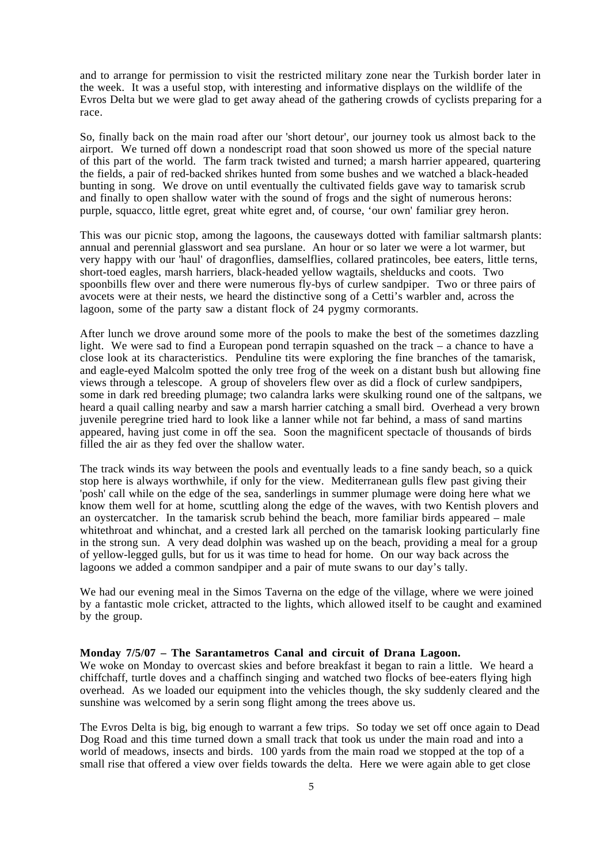and to arrange for permission to visit the restricted military zone near the Turkish border later in the week. It was a useful stop, with interesting and informative displays on the wildlife of the Evros Delta but we were glad to get away ahead of the gathering crowds of cyclists preparing for a race.

So, finally back on the main road after our 'short detour', our journey took us almost back to the airport. We turned off down a nondescript road that soon showed us more of the special nature of this part of the world. The farm track twisted and turned; a marsh harrier appeared, quartering the fields, a pair of red-backed shrikes hunted from some bushes and we watched a black-headed bunting in song. We drove on until eventually the cultivated fields gave way to tamarisk scrub and finally to open shallow water with the sound of frogs and the sight of numerous herons: purple, squacco, little egret, great white egret and, of course, 'our own' familiar grey heron.

This was our picnic stop, among the lagoons, the causeways dotted with familiar saltmarsh plants: annual and perennial glasswort and sea purslane. An hour or so later we were a lot warmer, but very happy with our 'haul' of dragonflies, damselflies, collared pratincoles, bee eaters, little terns, short-toed eagles, marsh harriers, black-headed yellow wagtails, shelducks and coots. Two spoonbills flew over and there were numerous fly-bys of curlew sandpiper. Two or three pairs of avocets were at their nests, we heard the distinctive song of a Cetti's warbler and, across the lagoon, some of the party saw a distant flock of 24 pygmy cormorants.

After lunch we drove around some more of the pools to make the best of the sometimes dazzling light. We were sad to find a European pond terrapin squashed on the track – a chance to have a close look at its characteristics. Penduline tits were exploring the fine branches of the tamarisk, and eagle-eyed Malcolm spotted the only tree frog of the week on a distant bush but allowing fine views through a telescope. A group of shovelers flew over as did a flock of curlew sandpipers, some in dark red breeding plumage; two calandra larks were skulking round one of the saltpans, we heard a quail calling nearby and saw a marsh harrier catching a small bird. Overhead a very brown juvenile peregrine tried hard to look like a lanner while not far behind, a mass of sand martins appeared, having just come in off the sea. Soon the magnificent spectacle of thousands of birds filled the air as they fed over the shallow water.

The track winds its way between the pools and eventually leads to a fine sandy beach, so a quick stop here is always worthwhile, if only for the view. Mediterranean gulls flew past giving their 'posh' call while on the edge of the sea, sanderlings in summer plumage were doing here what we know them well for at home, scuttling along the edge of the waves, with two Kentish plovers and an oystercatcher. In the tamarisk scrub behind the beach, more familiar birds appeared – male whitethroat and whinchat, and a crested lark all perched on the tamarisk looking particularly fine in the strong sun. A very dead dolphin was washed up on the beach, providing a meal for a group of yellow-legged gulls, but for us it was time to head for home. On our way back across the lagoons we added a common sandpiper and a pair of mute swans to our day's tally.

We had our evening meal in the Simos Taverna on the edge of the village, where we were joined by a fantastic mole cricket, attracted to the lights, which allowed itself to be caught and examined by the group.

### **Monday 7/5/07 – The Sarantametros Canal and circuit of Drana Lagoon.**

We woke on Monday to overcast skies and before breakfast it began to rain a little. We heard a chiffchaff, turtle doves and a chaffinch singing and watched two flocks of bee-eaters flying high overhead. As we loaded our equipment into the vehicles though, the sky suddenly cleared and the sunshine was welcomed by a serin song flight among the trees above us.

The Evros Delta is big, big enough to warrant a few trips. So today we set off once again to Dead Dog Road and this time turned down a small track that took us under the main road and into a world of meadows, insects and birds. 100 yards from the main road we stopped at the top of a small rise that offered a view over fields towards the delta. Here we were again able to get close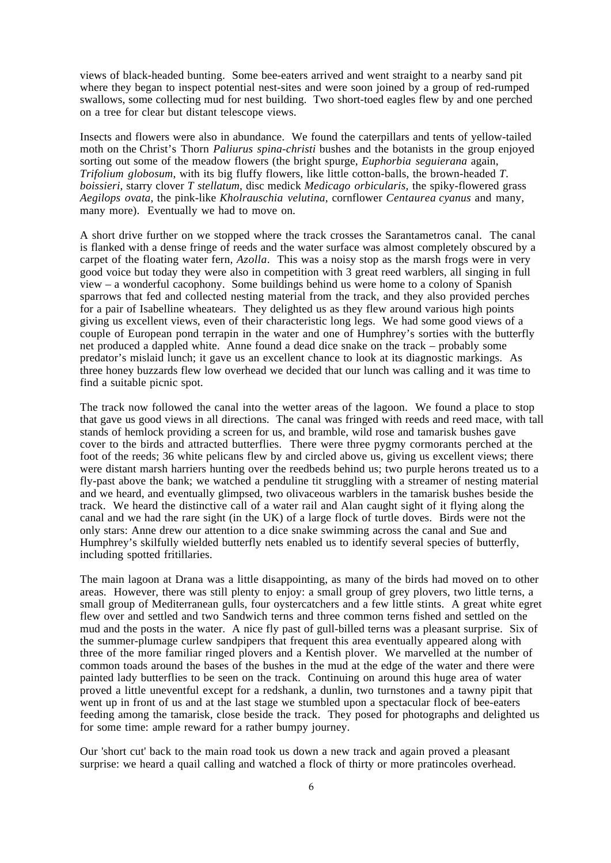views of black-headed bunting. Some bee-eaters arrived and went straight to a nearby sand pit where they began to inspect potential nest-sites and were soon joined by a group of red-rumped swallows, some collecting mud for nest building. Two short-toed eagles flew by and one perched on a tree for clear but distant telescope views.

Insects and flowers were also in abundance. We found the caterpillars and tents of yellow-tailed moth on the Christ's Thorn *Paliurus spina-christi* bushes and the botanists in the group enjoyed sorting out some of the meadow flowers (the bright spurge, *Euphorbia seguierana* again, *Trifolium globosum*, with its big fluffy flowers, like little cotton-balls, the brown-headed *T. boissieri*, starry clover *T stellatum*, disc medick *Medicago orbicularis,* the spiky-flowered grass *Aegilops ovata*, the pink-like *Kholrauschia velutina*, cornflower *Centaurea cyanus* and many, many more). Eventually we had to move on.

A short drive further on we stopped where the track crosses the Sarantametros canal. The canal is flanked with a dense fringe of reeds and the water surface was almost completely obscured by a carpet of the floating water fern, *Azolla*. This was a noisy stop as the marsh frogs were in very good voice but today they were also in competition with 3 great reed warblers, all singing in full view – a wonderful cacophony. Some buildings behind us were home to a colony of Spanish sparrows that fed and collected nesting material from the track, and they also provided perches for a pair of Isabelline wheatears. They delighted us as they flew around various high points giving us excellent views, even of their characteristic long legs. We had some good views of a couple of European pond terrapin in the water and one of Humphrey's sorties with the butterfly net produced a dappled white. Anne found a dead dice snake on the track – probably some predator's mislaid lunch; it gave us an excellent chance to look at its diagnostic markings. As three honey buzzards flew low overhead we decided that our lunch was calling and it was time to find a suitable picnic spot.

The track now followed the canal into the wetter areas of the lagoon. We found a place to stop that gave us good views in all directions. The canal was fringed with reeds and reed mace, with tall stands of hemlock providing a screen for us, and bramble, wild rose and tamarisk bushes gave cover to the birds and attracted butterflies. There were three pygmy cormorants perched at the foot of the reeds; 36 white pelicans flew by and circled above us, giving us excellent views; there were distant marsh harriers hunting over the reedbeds behind us; two purple herons treated us to a fly-past above the bank; we watched a penduline tit struggling with a streamer of nesting material and we heard, and eventually glimpsed, two olivaceous warblers in the tamarisk bushes beside the track. We heard the distinctive call of a water rail and Alan caught sight of it flying along the canal and we had the rare sight (in the UK) of a large flock of turtle doves. Birds were not the only stars: Anne drew our attention to a dice snake swimming across the canal and Sue and Humphrey's skilfully wielded butterfly nets enabled us to identify several species of butterfly, including spotted fritillaries.

The main lagoon at Drana was a little disappointing, as many of the birds had moved on to other areas. However, there was still plenty to enjoy: a small group of grey plovers, two little terns, a small group of Mediterranean gulls, four oystercatchers and a few little stints. A great white egret flew over and settled and two Sandwich terns and three common terns fished and settled on the mud and the posts in the water. A nice fly past of gull-billed terns was a pleasant surprise. Six of the summer-plumage curlew sandpipers that frequent this area eventually appeared along with three of the more familiar ringed plovers and a Kentish plover. We marvelled at the number of common toads around the bases of the bushes in the mud at the edge of the water and there were painted lady butterflies to be seen on the track. Continuing on around this huge area of water proved a little uneventful except for a redshank, a dunlin, two turnstones and a tawny pipit that went up in front of us and at the last stage we stumbled upon a spectacular flock of bee-eaters feeding among the tamarisk, close beside the track. They posed for photographs and delighted us for some time: ample reward for a rather bumpy journey.

Our 'short cut' back to the main road took us down a new track and again proved a pleasant surprise: we heard a quail calling and watched a flock of thirty or more pratincoles overhead.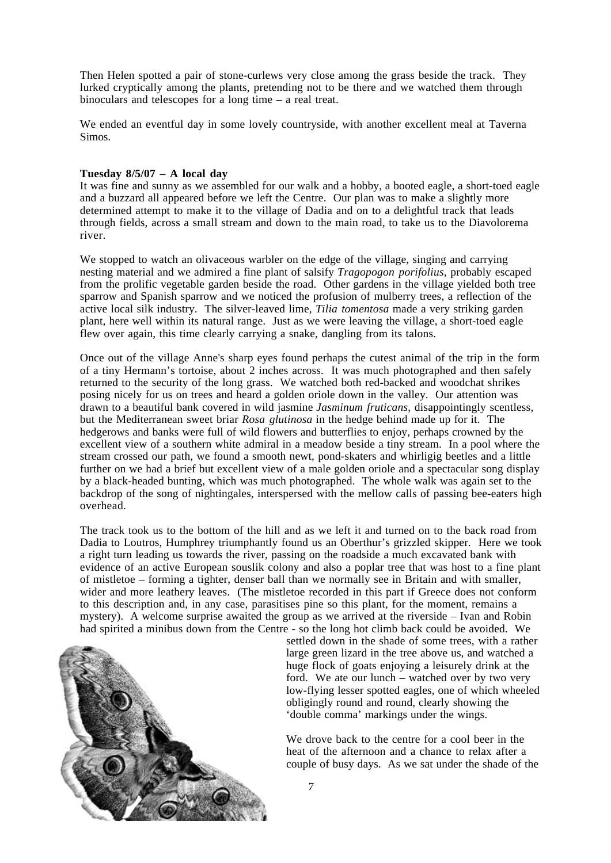Then Helen spotted a pair of stone-curlews very close among the grass beside the track. They lurked cryptically among the plants, pretending not to be there and we watched them through binoculars and telescopes for a long time – a real treat.

We ended an eventful day in some lovely countryside, with another excellent meal at Taverna Simos.

### **Tuesday 8/5/07 – A local day**

It was fine and sunny as we assembled for our walk and a hobby, a booted eagle, a short-toed eagle and a buzzard all appeared before we left the Centre. Our plan was to make a slightly more determined attempt to make it to the village of Dadia and on to a delightful track that leads through fields, across a small stream and down to the main road, to take us to the Diavolorema river.

We stopped to watch an olivaceous warbler on the edge of the village, singing and carrying nesting material and we admired a fine plant of salsify *Tragopogon porifolius*, probably escaped from the prolific vegetable garden beside the road. Other gardens in the village yielded both tree sparrow and Spanish sparrow and we noticed the profusion of mulberry trees, a reflection of the active local silk industry. The silver-leaved lime, *Tilia tomentosa* made a very striking garden plant, here well within its natural range. Just as we were leaving the village, a short-toed eagle flew over again, this time clearly carrying a snake, dangling from its talons.

Once out of the village Anne's sharp eyes found perhaps the cutest animal of the trip in the form of a tiny Hermann's tortoise, about 2 inches across. It was much photographed and then safely returned to the security of the long grass. We watched both red-backed and woodchat shrikes posing nicely for us on trees and heard a golden oriole down in the valley. Our attention was drawn to a beautiful bank covered in wild jasmine *Jasminum fruticans,* disappointingly scentless, but the Mediterranean sweet briar *Rosa glutinosa* in the hedge behind made up for it. The hedgerows and banks were full of wild flowers and butterflies to enjoy, perhaps crowned by the excellent view of a southern white admiral in a meadow beside a tiny stream. In a pool where the stream crossed our path, we found a smooth newt, pond-skaters and whirligig beetles and a little further on we had a brief but excellent view of a male golden oriole and a spectacular song display by a black-headed bunting, which was much photographed. The whole walk was again set to the backdrop of the song of nightingales, interspersed with the mellow calls of passing bee-eaters high overhead.

The track took us to the bottom of the hill and as we left it and turned on to the back road from Dadia to Loutros, Humphrey triumphantly found us an Oberthur's grizzled skipper. Here we took a right turn leading us towards the river, passing on the roadside a much excavated bank with evidence of an active European souslik colony and also a poplar tree that was host to a fine plant of mistletoe – forming a tighter, denser ball than we normally see in Britain and with smaller, wider and more leathery leaves. (The mistletoe recorded in this part if Greece does not conform to this description and, in any case, parasitises pine so this plant, for the moment, remains a mystery). A welcome surprise awaited the group as we arrived at the riverside – Ivan and Robin had spirited a minibus down from the Centre - so the long hot climb back could be avoided. We



settled down in the shade of some trees, with a rather large green lizard in the tree above us, and watched a huge flock of goats enjoying a leisurely drink at the ford. We ate our lunch – watched over by two very low-flying lesser spotted eagles, one of which wheeled obligingly round and round, clearly showing the 'double comma' markings under the wings.

We drove back to the centre for a cool beer in the heat of the afternoon and a chance to relax after a couple of busy days. As we sat under the shade of the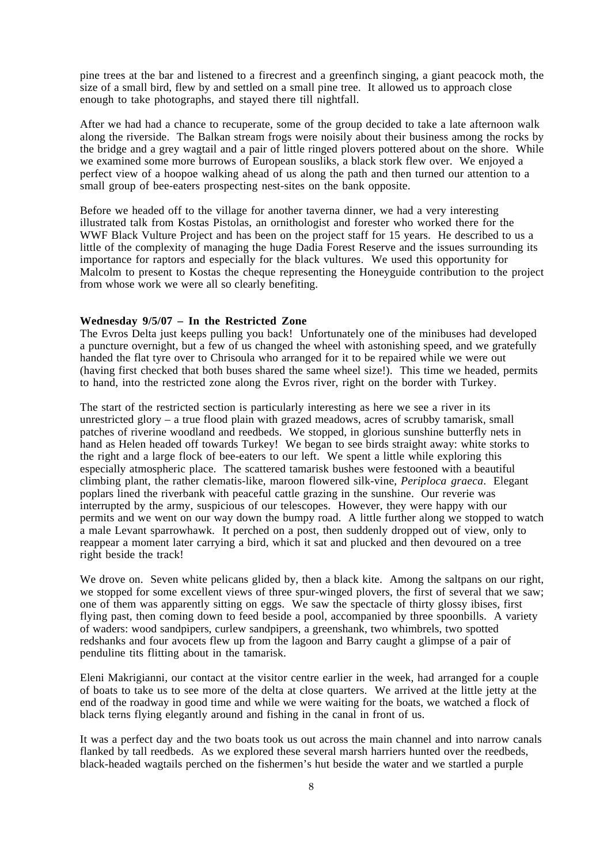pine trees at the bar and listened to a firecrest and a greenfinch singing, a giant peacock moth, the size of a small bird, flew by and settled on a small pine tree. It allowed us to approach close enough to take photographs, and stayed there till nightfall.

After we had had a chance to recuperate, some of the group decided to take a late afternoon walk along the riverside. The Balkan stream frogs were noisily about their business among the rocks by the bridge and a grey wagtail and a pair of little ringed plovers pottered about on the shore. While we examined some more burrows of European sousliks, a black stork flew over. We enjoyed a perfect view of a hoopoe walking ahead of us along the path and then turned our attention to a small group of bee-eaters prospecting nest-sites on the bank opposite.

Before we headed off to the village for another taverna dinner, we had a very interesting illustrated talk from Kostas Pistolas, an ornithologist and forester who worked there for the WWF Black Vulture Project and has been on the project staff for 15 years. He described to us a little of the complexity of managing the huge Dadia Forest Reserve and the issues surrounding its importance for raptors and especially for the black vultures. We used this opportunity for Malcolm to present to Kostas the cheque representing the Honeyguide contribution to the project from whose work we were all so clearly benefiting.

### **Wednesday 9/5/07 – In the Restricted Zone**

The Evros Delta just keeps pulling you back! Unfortunately one of the minibuses had developed a puncture overnight, but a few of us changed the wheel with astonishing speed, and we gratefully handed the flat tyre over to Chrisoula who arranged for it to be repaired while we were out (having first checked that both buses shared the same wheel size!). This time we headed, permits to hand, into the restricted zone along the Evros river, right on the border with Turkey.

The start of the restricted section is particularly interesting as here we see a river in its unrestricted glory – a true flood plain with grazed meadows, acres of scrubby tamarisk, small patches of riverine woodland and reedbeds. We stopped, in glorious sunshine butterfly nets in hand as Helen headed off towards Turkey! We began to see birds straight away: white storks to the right and a large flock of bee-eaters to our left. We spent a little while exploring this especially atmospheric place. The scattered tamarisk bushes were festooned with a beautiful climbing plant, the rather clematis-like, maroon flowered silk-vine, *Periploca graeca*. Elegant poplars lined the riverbank with peaceful cattle grazing in the sunshine. Our reverie was interrupted by the army, suspicious of our telescopes. However, they were happy with our permits and we went on our way down the bumpy road. A little further along we stopped to watch a male Levant sparrowhawk. It perched on a post, then suddenly dropped out of view, only to reappear a moment later carrying a bird, which it sat and plucked and then devoured on a tree right beside the track!

We drove on. Seven white pelicans glided by, then a black kite. Among the saltpans on our right, we stopped for some excellent views of three spur-winged plovers, the first of several that we saw; one of them was apparently sitting on eggs. We saw the spectacle of thirty glossy ibises, first flying past, then coming down to feed beside a pool, accompanied by three spoonbills. A variety of waders: wood sandpipers, curlew sandpipers, a greenshank, two whimbrels, two spotted redshanks and four avocets flew up from the lagoon and Barry caught a glimpse of a pair of penduline tits flitting about in the tamarisk.

Eleni Makrigianni, our contact at the visitor centre earlier in the week, had arranged for a couple of boats to take us to see more of the delta at close quarters. We arrived at the little jetty at the end of the roadway in good time and while we were waiting for the boats, we watched a flock of black terns flying elegantly around and fishing in the canal in front of us.

It was a perfect day and the two boats took us out across the main channel and into narrow canals flanked by tall reedbeds. As we explored these several marsh harriers hunted over the reedbeds, black-headed wagtails perched on the fishermen's hut beside the water and we startled a purple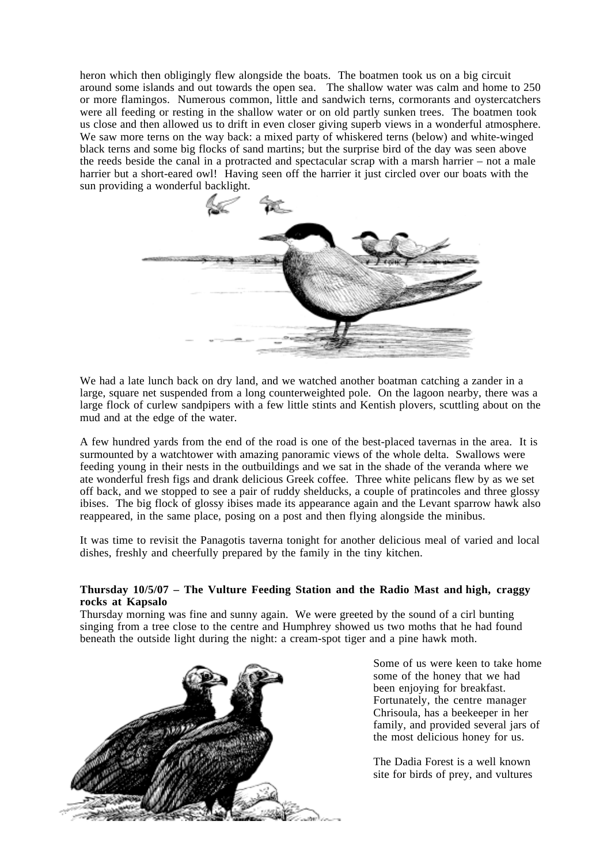heron which then obligingly flew alongside the boats. The boatmen took us on a big circuit around some islands and out towards the open sea. The shallow water was calm and home to 250 or more flamingos. Numerous common, little and sandwich terns, cormorants and oystercatchers were all feeding or resting in the shallow water or on old partly sunken trees. The boatmen took us close and then allowed us to drift in even closer giving superb views in a wonderful atmosphere. We saw more terns on the way back: a mixed party of whiskered terns (below) and white-winged black terns and some big flocks of sand martins; but the surprise bird of the day was seen above the reeds beside the canal in a protracted and spectacular scrap with a marsh harrier – not a male harrier but a short-eared owl! Having seen off the harrier it just circled over our boats with the sun providing a wonderful backlight.



We had a late lunch back on dry land, and we watched another boatman catching a zander in a large, square net suspended from a long counterweighted pole. On the lagoon nearby, there was a large flock of curlew sandpipers with a few little stints and Kentish plovers, scuttling about on the mud and at the edge of the water.

A few hundred yards from the end of the road is one of the best-placed tavernas in the area. It is surmounted by a watchtower with amazing panoramic views of the whole delta. Swallows were feeding young in their nests in the outbuildings and we sat in the shade of the veranda where we ate wonderful fresh figs and drank delicious Greek coffee. Three white pelicans flew by as we set off back, and we stopped to see a pair of ruddy shelducks, a couple of pratincoles and three glossy ibises. The big flock of glossy ibises made its appearance again and the Levant sparrow hawk also reappeared, in the same place, posing on a post and then flying alongside the minibus.

It was time to revisit the Panagotis taverna tonight for another delicious meal of varied and local dishes, freshly and cheerfully prepared by the family in the tiny kitchen.

### **Thursday 10/5/07 – The Vulture Feeding Station and the Radio Mast and high, craggy rocks at Kapsalo**

Thursday morning was fine and sunny again. We were greeted by the sound of a cirl bunting singing from a tree close to the centre and Humphrey showed us two moths that he had found beneath the outside light during the night: a cream-spot tiger and a pine hawk moth.



Some of us were keen to take home some of the honey that we had been enjoying for breakfast. Fortunately, the centre manager Chrisoula, has a beekeeper in her family, and provided several jars of the most delicious honey for us.

The Dadia Forest is a well known site for birds of prey, and vultures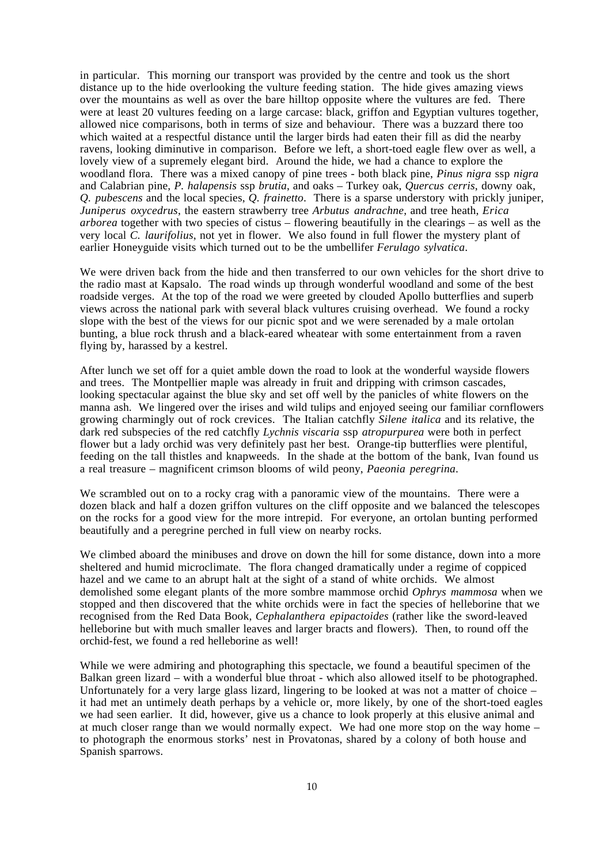in particular. This morning our transport was provided by the centre and took us the short distance up to the hide overlooking the vulture feeding station. The hide gives amazing views over the mountains as well as over the bare hilltop opposite where the vultures are fed. There were at least 20 vultures feeding on a large carcase: black, griffon and Egyptian vultures together, allowed nice comparisons, both in terms of size and behaviour. There was a buzzard there too which waited at a respectful distance until the larger birds had eaten their fill as did the nearby ravens, looking diminutive in comparison. Before we left, a short-toed eagle flew over as well, a lovely view of a supremely elegant bird. Around the hide, we had a chance to explore the woodland flora. There was a mixed canopy of pine trees - both black pine, *Pinus nigra* ssp *nigra* and Calabrian pine, *P. halapensis* ssp *brutia*, and oaks – Turkey oak, *Quercus cerris*, downy oak, *Q. pubescens* and the local species, *Q. frainetto*. There is a sparse understory with prickly juniper, *Juniperus oxycedrus*, the eastern strawberry tree *Arbutus andrachne*, and tree heath, *Erica arborea* together with two species of cistus – flowering beautifully in the clearings – as well as the very local *C. laurifolius*, not yet in flower. We also found in full flower the mystery plant of earlier Honeyguide visits which turned out to be the umbellifer *Ferulago sylvatica*.

We were driven back from the hide and then transferred to our own vehicles for the short drive to the radio mast at Kapsalo. The road winds up through wonderful woodland and some of the best roadside verges. At the top of the road we were greeted by clouded Apollo butterflies and superb views across the national park with several black vultures cruising overhead. We found a rocky slope with the best of the views for our picnic spot and we were serenaded by a male ortolan bunting, a blue rock thrush and a black-eared wheatear with some entertainment from a raven flying by, harassed by a kestrel.

After lunch we set off for a quiet amble down the road to look at the wonderful wayside flowers and trees. The Montpellier maple was already in fruit and dripping with crimson cascades, looking spectacular against the blue sky and set off well by the panicles of white flowers on the manna ash. We lingered over the irises and wild tulips and enjoyed seeing our familiar cornflowers growing charmingly out of rock crevices. The Italian catchfly *Silene italica* and its relative, the dark red subspecies of the red catchfly *Lychnis viscaria* ssp *atropurpurea* were both in perfect flower but a lady orchid was very definitely past her best. Orange-tip butterflies were plentiful, feeding on the tall thistles and knapweeds. In the shade at the bottom of the bank, Ivan found us a real treasure – magnificent crimson blooms of wild peony, *Paeonia peregrina*.

We scrambled out on to a rocky crag with a panoramic view of the mountains. There were a dozen black and half a dozen griffon vultures on the cliff opposite and we balanced the telescopes on the rocks for a good view for the more intrepid. For everyone, an ortolan bunting performed beautifully and a peregrine perched in full view on nearby rocks.

We climbed aboard the minibuses and drove on down the hill for some distance, down into a more sheltered and humid microclimate. The flora changed dramatically under a regime of coppiced hazel and we came to an abrupt halt at the sight of a stand of white orchids. We almost demolished some elegant plants of the more sombre mammose orchid *Ophrys mammosa* when we stopped and then discovered that the white orchids were in fact the species of helleborine that we recognised from the Red Data Book, *Cephalanthera epipactoides* (rather like the sword-leaved helleborine but with much smaller leaves and larger bracts and flowers). Then, to round off the orchid-fest, we found a red helleborine as well!

While we were admiring and photographing this spectacle, we found a beautiful specimen of the Balkan green lizard – with a wonderful blue throat - which also allowed itself to be photographed. Unfortunately for a very large glass lizard, lingering to be looked at was not a matter of choice – it had met an untimely death perhaps by a vehicle or, more likely, by one of the short-toed eagles we had seen earlier. It did, however, give us a chance to look properly at this elusive animal and at much closer range than we would normally expect. We had one more stop on the way home – to photograph the enormous storks' nest in Provatonas, shared by a colony of both house and Spanish sparrows.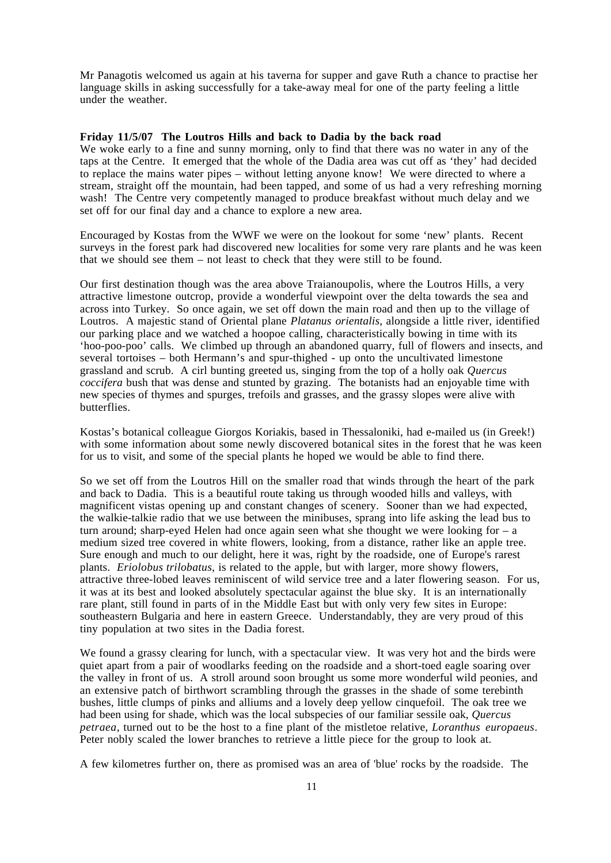Mr Panagotis welcomed us again at his taverna for supper and gave Ruth a chance to practise her language skills in asking successfully for a take-away meal for one of the party feeling a little under the weather.

### **Friday 11/5/07 The Loutros Hills and back to Dadia by the back road**

We woke early to a fine and sunny morning, only to find that there was no water in any of the taps at the Centre. It emerged that the whole of the Dadia area was cut off as 'they' had decided to replace the mains water pipes – without letting anyone know! We were directed to where a stream, straight off the mountain, had been tapped, and some of us had a very refreshing morning wash! The Centre very competently managed to produce breakfast without much delay and we set off for our final day and a chance to explore a new area.

Encouraged by Kostas from the WWF we were on the lookout for some 'new' plants. Recent surveys in the forest park had discovered new localities for some very rare plants and he was keen that we should see them – not least to check that they were still to be found.

Our first destination though was the area above Traianoupolis, where the Loutros Hills, a very attractive limestone outcrop, provide a wonderful viewpoint over the delta towards the sea and across into Turkey. So once again, we set off down the main road and then up to the village of Loutros. A majestic stand of Oriental plane *Platanus orientalis*, alongside a little river, identified our parking place and we watched a hoopoe calling, characteristically bowing in time with its 'hoo-poo-poo' calls. We climbed up through an abandoned quarry, full of flowers and insects, and several tortoises – both Hermann's and spur-thighed - up onto the uncultivated limestone grassland and scrub. A cirl bunting greeted us, singing from the top of a holly oak *Quercus coccifera* bush that was dense and stunted by grazing. The botanists had an enjoyable time with new species of thymes and spurges, trefoils and grasses, and the grassy slopes were alive with butterflies.

Kostas's botanical colleague Giorgos Koriakis, based in Thessaloniki, had e-mailed us (in Greek!) with some information about some newly discovered botanical sites in the forest that he was keen for us to visit, and some of the special plants he hoped we would be able to find there.

So we set off from the Loutros Hill on the smaller road that winds through the heart of the park and back to Dadia. This is a beautiful route taking us through wooded hills and valleys, with magnificent vistas opening up and constant changes of scenery. Sooner than we had expected, the walkie-talkie radio that we use between the minibuses, sprang into life asking the lead bus to turn around; sharp-eyed Helen had once again seen what she thought we were looking for – a medium sized tree covered in white flowers, looking, from a distance, rather like an apple tree. Sure enough and much to our delight, here it was, right by the roadside, one of Europe's rarest plants. *Eriolobus trilobatus*, is related to the apple, but with larger, more showy flowers, attractive three-lobed leaves reminiscent of wild service tree and a later flowering season. For us, it was at its best and looked absolutely spectacular against the blue sky. It is an internationally rare plant, still found in parts of in the Middle East but with only very few sites in Europe: southeastern Bulgaria and here in eastern Greece. Understandably, they are very proud of this tiny population at two sites in the Dadia forest.

We found a grassy clearing for lunch, with a spectacular view. It was very hot and the birds were quiet apart from a pair of woodlarks feeding on the roadside and a short-toed eagle soaring over the valley in front of us. A stroll around soon brought us some more wonderful wild peonies, and an extensive patch of birthwort scrambling through the grasses in the shade of some terebinth bushes, little clumps of pinks and alliums and a lovely deep yellow cinquefoil. The oak tree we had been using for shade, which was the local subspecies of our familiar sessile oak, *Quercus petraea*, turned out to be the host to a fine plant of the mistletoe relative, *Loranthus europaeus*. Peter nobly scaled the lower branches to retrieve a little piece for the group to look at.

A few kilometres further on, there as promised was an area of 'blue' rocks by the roadside. The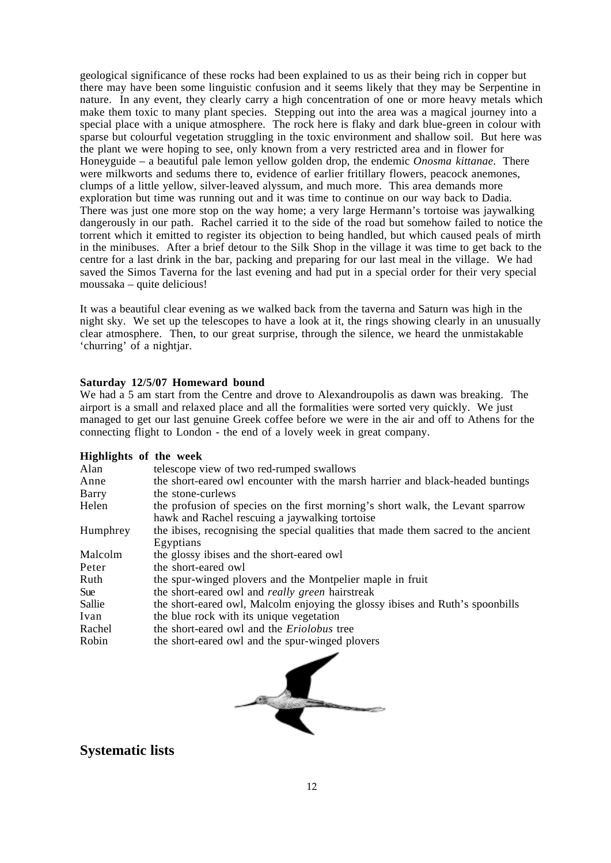geological significance of these rocks had been explained to us as their being rich in copper but there may have been some linguistic confusion and it seems likely that they may be Serpentine in nature. In any event, they clearly carry a high concentration of one or more heavy metals which make them toxic to many plant species. Stepping out into the area was a magical journey into a special place with a unique atmosphere. The rock here is flaky and dark blue-green in colour with sparse but colourful vegetation struggling in the toxic environment and shallow soil. But here was the plant we were hoping to see, only known from a very restricted area and in flower for Honeyguide – a beautiful pale lemon yellow golden drop, the endemic *Onosma kittanae*. There were milkworts and sedums there to, evidence of earlier fritillary flowers, peacock anemones, clumps of a little yellow, silver-leaved alyssum, and much more. This area demands more exploration but time was running out and it was time to continue on our way back to Dadia. There was just one more stop on the way home; a very large Hermann's tortoise was jaywalking dangerously in our path. Rachel carried it to the side of the road but somehow failed to notice the torrent which it emitted to register its objection to being handled, but which caused peals of mirth in the minibuses. After a brief detour to the Silk Shop in the village it was time to get back to the centre for a last drink in the bar, packing and preparing for our last meal in the village. We had saved the Simos Taverna for the last evening and had put in a special order for their very special moussaka – quite delicious!

It was a beautiful clear evening as we walked back from the taverna and Saturn was high in the night sky. We set up the telescopes to have a look at it, the rings showing clearly in an unusually clear atmosphere. Then, to our great surprise, through the silence, we heard the unmistakable 'churring' of a nightjar.

### **Saturday 12/5/07 Homeward bound**

We had a 5 am start from the Centre and drove to Alexandroupolis as dawn was breaking. The airport is a small and relaxed place and all the formalities were sorted very quickly. We just managed to get our last genuine Greek coffee before we were in the air and off to Athens for the connecting flight to London - the end of a lovely week in great company.

### **Highlights of the week**

| Alan     | telescope view of two red-rumped swallows                                          |
|----------|------------------------------------------------------------------------------------|
| Anne     | the short-eared owl encounter with the marsh harrier and black-headed buntings     |
| Barry    | the stone-curlews                                                                  |
| Helen    | the profusion of species on the first morning's short walk, the Levant sparrow     |
|          | hawk and Rachel rescuing a jaywalking tortoise                                     |
| Humphrey | the ibises, recognising the special qualities that made them sacred to the ancient |
|          | Egyptians                                                                          |
| Malcolm  | the glossy ibises and the short-eared owl                                          |
| Peter    | the short-eared owl                                                                |
| Ruth     | the spur-winged plovers and the Montpelier maple in fruit                          |
| Sue      | the short-eared owl and <i>really green</i> hairstreak                             |
| Sallie   | the short-eared owl, Malcolm enjoying the glossy ibises and Ruth's spoonbills      |
| Ivan     | the blue rock with its unique vegetation                                           |
| Rachel   | the short-eared owl and the <i>Eriolobus</i> tree                                  |
| Robin    | the short-eared owl and the spur-winged plovers                                    |
|          |                                                                                    |



### **Systematic lists**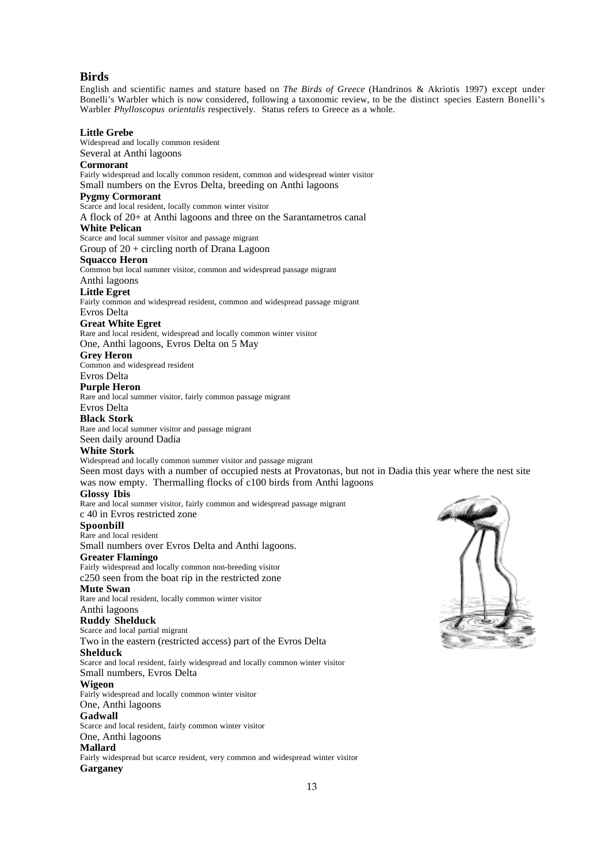### **Birds**

English and scientific names and stature based on *The Birds of Greece* (Handrinos & Akriotis 1997) except under Bonelli's Warbler which is now considered, following a taxonomic review, to be the distinct species Eastern Bonelli's Warbler *Phylloscopus orientalis* respectively. Status refers to Greece as a whole.

#### **Little Grebe**

Widespread and locally common resident

Several at Anthi lagoons **Cormorant**

Fairly widespread and locally common resident, common and widespread winter visitor Small numbers on the Evros Delta, breeding on Anthi lagoons

### **Pygmy Cormorant**

Scarce and local resident, locally common winter visitor

A flock of 20+ at Anthi lagoons and three on the Sarantametros canal

### **White Pelican**

Scarce and local summer visitor and passage migrant

Group of 20 + circling north of Drana Lagoon

### **Squacco Heron**

Common but local summer visitor, common and widespread passage migrant

### Anthi lagoons

**Little Egret**

Fairly common and widespread resident, common and widespread passage migrant Evros Delta

#### **Great White Egret**

Rare and local resident, widespread and locally common winter visitor

One, Anthi lagoons, Evros Delta on 5 May

**Grey Heron**

Common and widespread resident Evros Delta

### **Purple Heron**

Rare and local summer visitor, fairly common passage migrant

Evros Delta

### **Black Stork**

Rare and local summer visitor and passage migrant Seen daily around Dadia

### **White Stork**

Widespread and locally common summer visitor and passage migrant

Seen most days with a number of occupied nests at Provatonas, but not in Dadia this year where the nest site was now empty. Thermalling flocks of c100 birds from Anthi lagoons

#### **Glossy Ibis**

Rare and local summer visitor, fairly common and widespread passage migrant

c 40 in Evros restricted zone

### **Spoonbill**

Rare and local resident Small numbers over Evros Delta and Anthi lagoons.

#### **Greater Flamingo**

Fairly widespread and locally common non-breeding visitor c250 seen from the boat rip in the restricted zone

#### **Mute Swan**

Rare and local resident, locally common winter visitor Anthi lagoons

### **Ruddy Shelduck**

Scarce and local partial migrant

Two in the eastern (restricted access) part of the Evros Delta

### **Shelduck**

Scarce and local resident, fairly widespread and locally common winter visitor Small numbers, Evros Delta

### **Wigeon**

Fairly widespread and locally common winter visitor

#### One, Anthi lagoons

#### **Gadwall**

Scarce and local resident, fairly common winter visitor

#### One, Anthi lagoons

**Mallard**

Fairly widespread but scarce resident, very common and widespread winter visitor **Garganey**

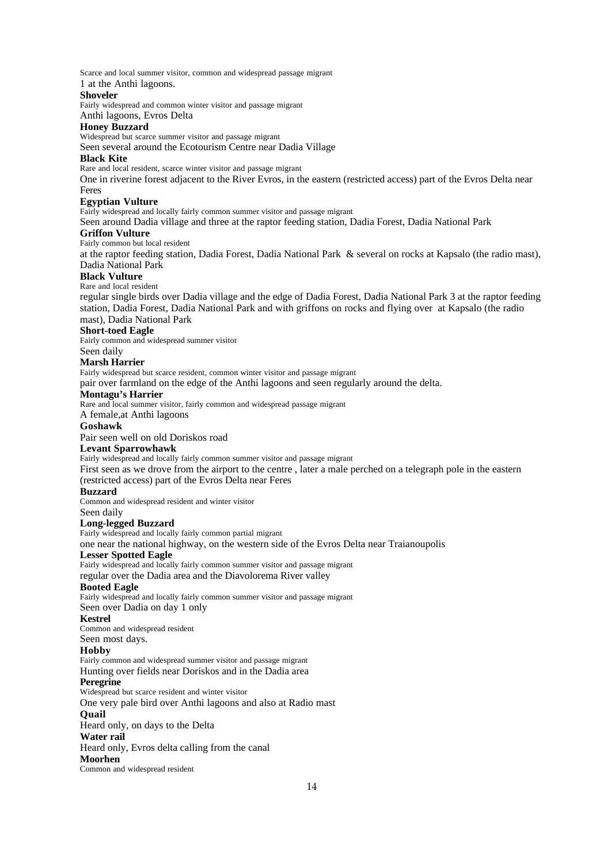Scarce and local summer visitor, common and widespread passage migrant

### 1 at the Anthi lagoons.

### **Shoveler**

Fairly widespread and common winter visitor and passage migrant

Anthi lagoons, Evros Delta

### **Honey Buzzard**

Widespread but scarce summer visitor and passage migrant

#### Seen several around the Ecotourism Centre near Dadia Village

#### **Black Kite**

Rare and local resident, scarce winter visitor and passage migrant

One in riverine forest adjacent to the River Evros, in the eastern (restricted access) part of the Evros Delta near Feres

### **Egyptian Vulture**

Fairly widespread and locally fairly common summer visitor and passage migrant

Seen around Dadia village and three at the raptor feeding station, Dadia Forest, Dadia National Park

#### **Griffon Vulture**

Fairly common but local resident

at the raptor feeding station, Dadia Forest, Dadia National Park & several on rocks at Kapsalo (the radio mast), Dadia National Park

### **Black Vulture**

#### Rare and local resident

regular single birds over Dadia village and the edge of Dadia Forest, Dadia National Park 3 at the raptor feeding station, Dadia Forest, Dadia National Park and with griffons on rocks and flying over at Kapsalo (the radio mast), Dadia National Park

### **Short-toed Eagle**

Fairly common and widespread summer visitor

Seen daily

#### **Marsh Harrier**

Fairly widespread but scarce resident, common winter visitor and passage migrant

pair over farmland on the edge of the Anthi lagoons and seen regularly around the delta.

#### **Montagu's Harrier**

Rare and local summer visitor, fairly common and widespread passage migrant

A female,at Anthi lagoons

#### **Goshawk**

Pair seen well on old Doriskos road

#### **Levant Sparrowhawk**

Fairly widespread and locally fairly common summer visitor and passage migrant

First seen as we drove from the airport to the centre , later a male perched on a telegraph pole in the eastern (restricted access) part of the Evros Delta near Feres

### **Buzzard**

Common and widespread resident and winter visitor

#### Seen daily

### **Long-legged Buzzard**

Fairly widespread and locally fairly common partial migrant

one near the national highway, on the western side of the Evros Delta near Traianoupolis

### **Lesser Spotted Eagle**

Fairly widespread and locally fairly common summer visitor and passage migrant

regular over the Dadia area and the Diavolorema River valley

### **Booted Eagle**

Fairly widespread and locally fairly common summer visitor and passage migrant

### Seen over Dadia on day 1 only

**Kestrel**

Common and widespread resident

### Seen most days.

### **Hobby**

Fairly common and widespread summer visitor and passage migrant Hunting over fields near Doriskos and in the Dadia area

### **Peregrine**

Widespread but scarce resident and winter visitor

One very pale bird over Anthi lagoons and also at Radio mast

#### **Quail**

Heard only, on days to the Delta

### **Water rail**

Heard only, Evros delta calling from the canal

#### **Moorhen**

Common and widespread resident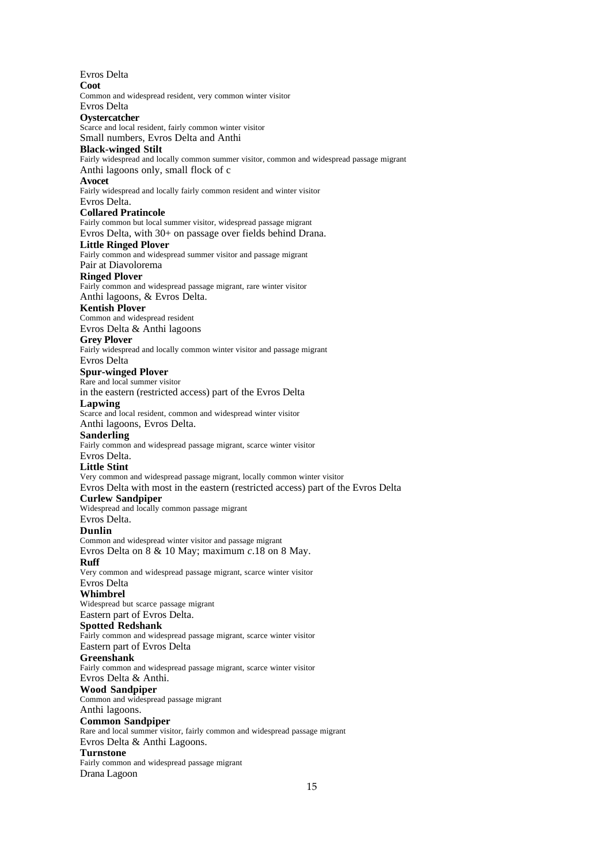Evros Delta **Coot** Common and widespread resident, very common winter visitor Evros Delta **Oystercatcher** Scarce and local resident, fairly common winter visitor Small numbers, Evros Delta and Anthi **Black-winged Stilt** Fairly widespread and locally common summer visitor, common and widespread passage migrant Anthi lagoons only, small flock of c **Avocet** Fairly widespread and locally fairly common resident and winter visitor Evros Delta. **Collared Pratincole** Fairly common but local summer visitor, widespread passage migrant Evros Delta, with 30+ on passage over fields behind Drana. **Little Ringed Plover** Fairly common and widespread summer visitor and passage migrant Pair at Diavolorema **Ringed Plover** Fairly common and widespread passage migrant, rare winter visitor Anthi lagoons, & Evros Delta. **Kentish Plover** Common and widespread resident Evros Delta & Anthi lagoons **Grey Plover** Fairly widespread and locally common winter visitor and passage migrant Evros Delta **Spur-winged Plover** Rare and local summer visitor in the eastern (restricted access) part of the Evros Delta **Lapwing** Scarce and local resident, common and widespread winter visitor Anthi lagoons, Evros Delta. **Sanderling** Fairly common and widespread passage migrant, scarce winter visitor Evros Delta. **Little Stint** Very common and widespread passage migrant, locally common winter visitor Evros Delta with most in the eastern (restricted access) part of the Evros Delta **Curlew Sandpiper** Widespread and locally common passage migrant Evros Delta. **Dunlin** Common and widespread winter visitor and passage migrant Evros Delta on 8 & 10 May; maximum *c*.18 on 8 May. **Ruff** Very common and widespread passage migrant, scarce winter visitor Evros Delta **Whimbrel** Widespread but scarce passage migrant Eastern part of Evros Delta. **Spotted Redshank** Fairly common and widespread passage migrant, scarce winter visitor Eastern part of Evros Delta **Greenshank** Fairly common and widespread passage migrant, scarce winter visitor Evros Delta & Anthi. **Wood Sandpiper** Common and widespread passage migrant Anthi lagoons. **Common Sandpiper** Rare and local summer visitor, fairly common and widespread passage migrant Evros Delta & Anthi Lagoons. **Turnstone** Fairly common and widespread passage migrant Drana Lagoon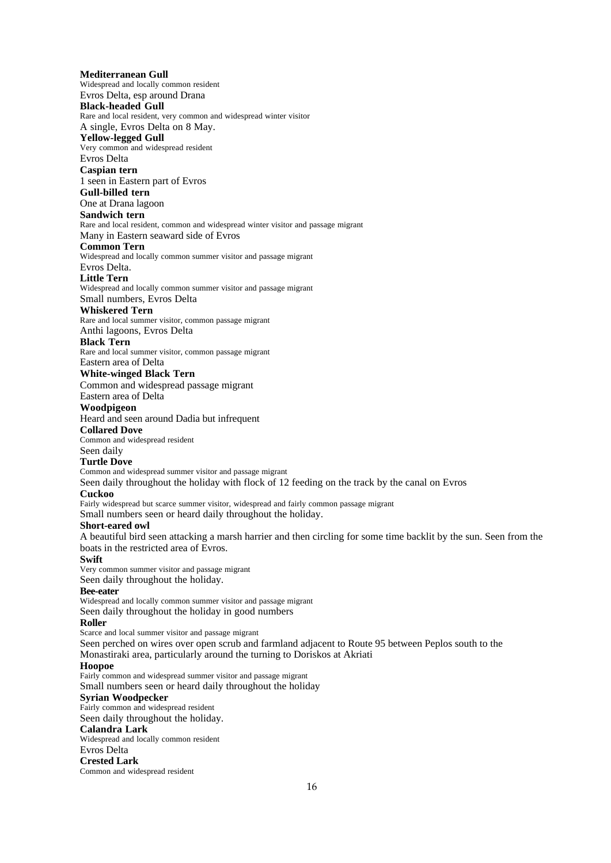### **Mediterranean Gull** Widespread and locally common resident Evros Delta, esp around Drana **Black-headed Gull** Rare and local resident, very common and widespread winter visitor A single, Evros Delta on 8 May. **Yellow-legged Gull** Very common and widespread resident Evros Delta **Caspian tern** 1 seen in Eastern part of Evros **Gull-billed tern** One at Drana lagoon **Sandwich tern** Rare and local resident, common and widespread winter visitor and passage migrant Many in Eastern seaward side of Evros **Common Tern** Widespread and locally common summer visitor and passage migrant Evros Delta. **Little Tern** Widespread and locally common summer visitor and passage migrant Small numbers, Evros Delta **Whiskered Tern** Rare and local summer visitor, common passage migrant Anthi lagoons, Evros Delta **Black Tern** Rare and local summer visitor, common passage migrant Eastern area of Delta **White-winged Black Tern** Common and widespread passage migrant Eastern area of Delta **Woodpigeon** Heard and seen around Dadia but infrequent **Collared Dove** Common and widespread resident Seen daily **Turtle Dove** Common and widespread summer visitor and passage migrant Seen daily throughout the holiday with flock of 12 feeding on the track by the canal on Evros **Cuckoo** Fairly widespread but scarce summer visitor, widespread and fairly common passage migrant Small numbers seen or heard daily throughout the holiday. **Short-eared owl** A beautiful bird seen attacking a marsh harrier and then circling for some time backlit by the sun. Seen from the boats in the restricted area of Evros. **Swift** Very common summer visitor and passage migrant Seen daily throughout the holiday. **Bee-eater** Widespread and locally common summer visitor and passage migrant Seen daily throughout the holiday in good numbers **Roller** Scarce and local summer visitor and passage migrant Seen perched on wires over open scrub and farmland adjacent to Route 95 between Peplos south to the Monastiraki area, particularly around the turning to Doriskos at Akriati **Hoopoe** Fairly common and widespread summer visitor and passage migrant Small numbers seen or heard daily throughout the holiday **Syrian Woodpecker** Fairly common and widespread resident Seen daily throughout the holiday. **Calandra Lark** Widespread and locally common resident Evros Delta **Crested Lark** Common and widespread resident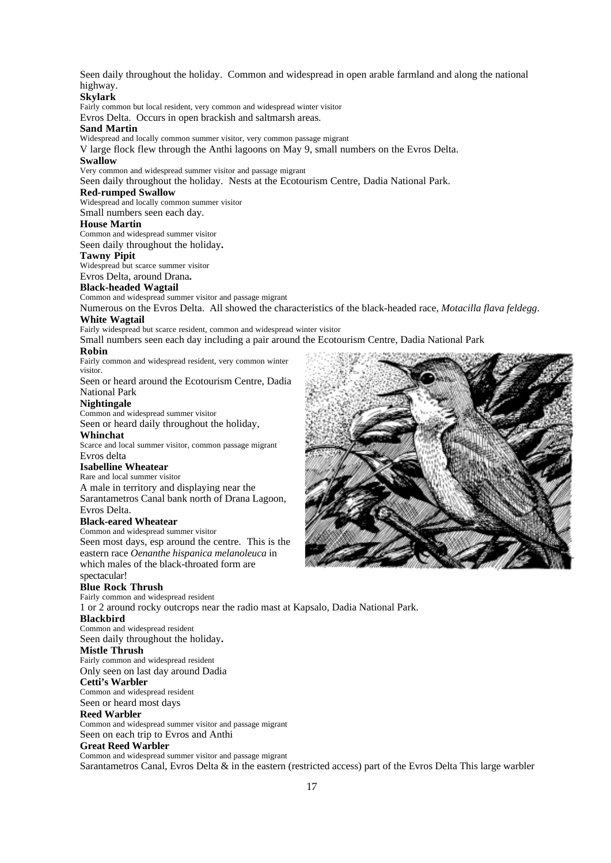Seen daily throughout the holiday. Common and widespread in open arable farmland and along the national highway.

### **Skylark**

Fairly common but local resident, very common and widespread winter visitor

Evros Delta. Occurs in open brackish and saltmarsh areas.

### **Sand Martin**

Widespread and locally common summer visitor, very common passage migrant

V large flock flew through the Anthi lagoons on May 9, small numbers on the Evros Delta.

#### **Swallow**

Very common and widespread summer visitor and passage migrant

Seen daily throughout the holiday. Nests at the Ecotourism Centre, Dadia National Park.

#### **Red-rumped Swallow**

Widespread and locally common summer visitor Small numbers seen each day.

#### **House Martin**

Common and widespread summer visitor

Seen daily throughout the holiday**.**

#### **Tawny Pipit**

Widespread but scarce summer visitor

Evros Delta, around Drana**.**

### **Black-headed Wagtail**

Common and widespread summer visitor and passage migrant

Numerous on the Evros Delta. All showed the characteristics of the black-headed race, *Motacilla flava feldegg*. **White Wagtail**

Fairly widespread but scarce resident, common and widespread winter visitor

Small numbers seen each day including a pair around the Ecotourism Centre, Dadia National Park

#### **Robin**

Fairly common and widespread resident, very common winter visitor.

Seen or heard around the Ecotourism Centre, Dadia National Park

#### **Nightingale**

Common and widespread summer visitor

Seen or heard daily throughout the holiday,

#### **Whinchat**

Scarce and local summer visitor, common passage migrant Evros delta

### **Isabelline Wheatear**

Rare and local summer visitor

A male in territory and displaying near the

Sarantametros Canal bank north of Drana Lagoon, Evros Delta.

#### **Black-eared Wheatear**

Common and widespread summer visitor

Seen most days, esp around the centre. This is the eastern race *Oenanthe hispanica melanoleuca* in which males of the black-throated form are spectacular!

#### **Blue Rock Thrush**

Fairly common and widespread resident

1 or 2 around rocky outcrops near the radio mast at Kapsalo, Dadia National Park.

### **Blackbird**

Common and widespread resident Seen daily throughout the holiday**.**

#### **Mistle Thrush**

Fairly common and widespread resident Only seen on last day around Dadia

### **Cetti's Warbler**

Common and widespread resident Seen or heard most days

### **Reed Warbler**

Common and widespread summer visitor and passage migrant Seen on each trip to Evros and Anthi

### **Great Reed Warbler**

Common and widespread summer visitor and passage migrant Sarantametros Canal, Evros Delta & in the eastern (restricted access) part of the Evros Delta This large warbler

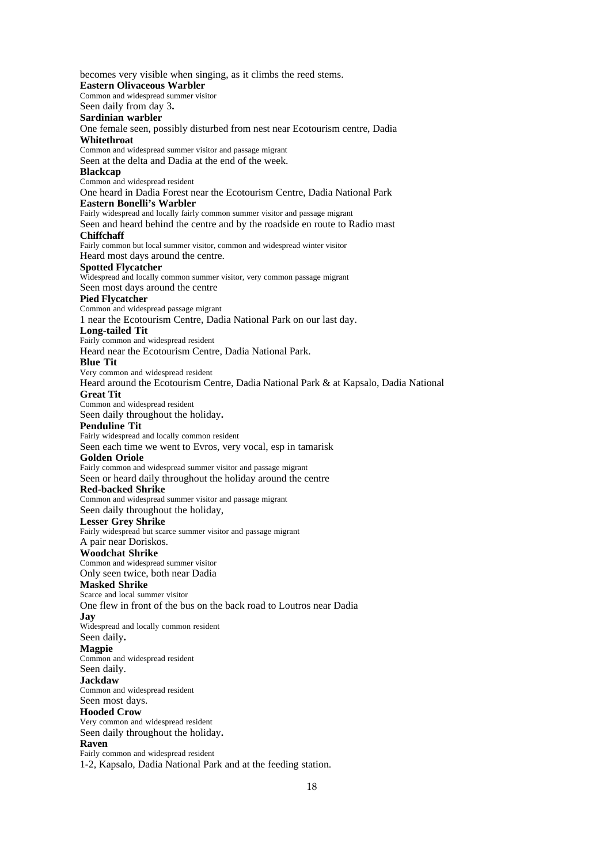becomes very visible when singing, as it climbs the reed stems. **Eastern Olivaceous Warbler** Common and widespread summer visitor Seen daily from day 3**. Sardinian warbler** One female seen, possibly disturbed from nest near Ecotourism centre, Dadia **Whitethroat** Common and widespread summer visitor and passage migrant Seen at the delta and Dadia at the end of the week. **Blackcap** Common and widespread resident One heard in Dadia Forest near the Ecotourism Centre, Dadia National Park **Eastern Bonelli's Warbler** Fairly widespread and locally fairly common summer visitor and passage migrant Seen and heard behind the centre and by the roadside en route to Radio mast **Chiffchaff** Fairly common but local summer visitor, common and widespread winter visitor Heard most days around the centre. **Spotted Flycatcher** Widespread and locally common summer visitor, very common passage migrant Seen most days around the centre **Pied Flycatcher** Common and widespread passage migrant 1 near the Ecotourism Centre, Dadia National Park on our last day. **Long-tailed Tit** Fairly common and widespread resident Heard near the Ecotourism Centre, Dadia National Park. **Blue Tit** Very common and widespread resident Heard around the Ecotourism Centre, Dadia National Park & at Kapsalo, Dadia National **Great Tit** Common and widespread resident Seen daily throughout the holiday**. Penduline Tit** Fairly widespread and locally common resident Seen each time we went to Evros, very vocal, esp in tamarisk **Golden Oriole** Fairly common and widespread summer visitor and passage migrant Seen or heard daily throughout the holiday around the centre **Red-backed Shrike** Common and widespread summer visitor and passage migrant Seen daily throughout the holiday, **Lesser Grey Shrike** Fairly widespread but scarce summer visitor and passage migrant A pair near Doriskos. **Woodchat Shrike** Common and widespread summer visitor Only seen twice, both near Dadia **Masked Shrike** Scarce and local summer visitor One flew in front of the bus on the back road to Loutros near Dadia **Jay** Widespread and locally common resident Seen daily**. Magpie** Common and widespread resident Seen daily. **Jackdaw** Common and widespread resident Seen most days. **Hooded Crow** Very common and widespread resident Seen daily throughout the holiday**. Raven** Fairly common and widespread resident 1-2, Kapsalo, Dadia National Park and at the feeding station.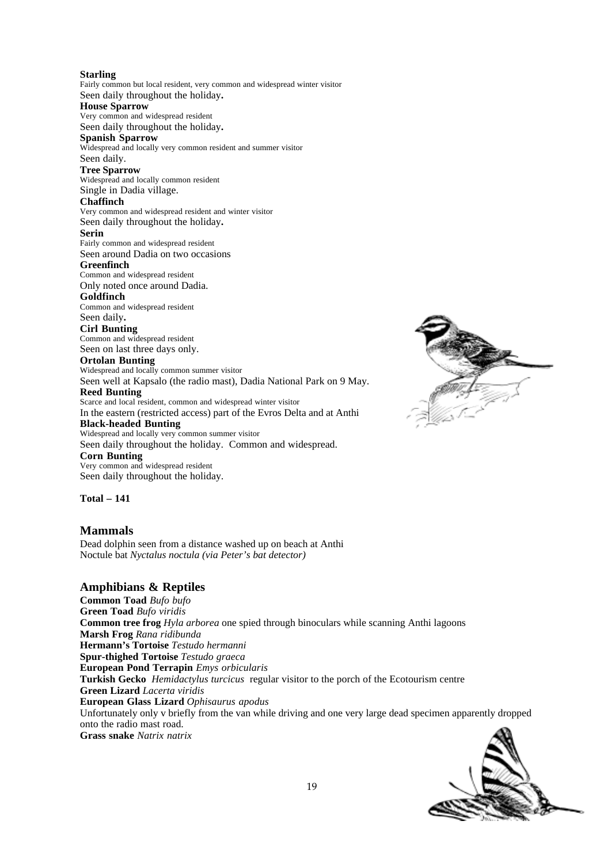**Starling**

Fairly common but local resident, very common and widespread winter visitor Seen daily throughout the holiday**. House Sparrow**

#### Very common and widespread resident Seen daily throughout the holiday**.**

**Spanish Sparrow**

Widespread and locally very common resident and summer visitor Seen daily.

### **Tree Sparrow**

Widespread and locally common resident Single in Dadia village.

### **Chaffinch**

Very common and widespread resident and winter visitor Seen daily throughout the holiday**.**

### **Serin**

Fairly common and widespread resident Seen around Dadia on two occasions

### **Greenfinch**

Common and widespread resident Only noted once around Dadia.

### **Goldfinch**

Common and widespread resident Seen daily**.**

### **Cirl Bunting**

Common and widespread resident Seen on last three days only.

### **Ortolan Bunting**

Widespread and locally common summer visitor Seen well at Kapsalo (the radio mast), Dadia National Park on 9 May.

### **Reed Bunting**

Scarce and local resident, common and widespread winter visitor In the eastern (restricted access) part of the Evros Delta and at Anthi **Black-headed Bunting**

Widespread and locally very common summer visitor Seen daily throughout the holiday. Common and widespread. **Corn Bunting**

Very common and widespread resident Seen daily throughout the holiday.

**Total – 141**

### **Mammals**

Dead dolphin seen from a distance washed up on beach at Anthi Noctule bat *Nyctalus noctula (via Peter's bat detector)*

### **Amphibians & Reptiles**

**Common Toad** *Bufo bufo* **Green Toad** *Bufo viridis* **Common tree frog** *Hyla arborea* one spied through binoculars while scanning Anthi lagoons **Marsh Frog** *Rana ridibunda* **Hermann's Tortoise** *Testudo hermanni* **Spur-thighed Tortoise** *Testudo graeca* **European Pond Terrapin** *Emys orbicularis* **Turkish Gecko** *Hemidactylus turcicus* regular visitor to the porch of the Ecotourism centre **Green Lizard** *Lacerta viridis* **European Glass Lizard** *Ophisaurus apodus* Unfortunately only v briefly from the van while driving and one very large dead specimen apparently dropped onto the radio mast road. **Grass snake** *Natrix natrix*



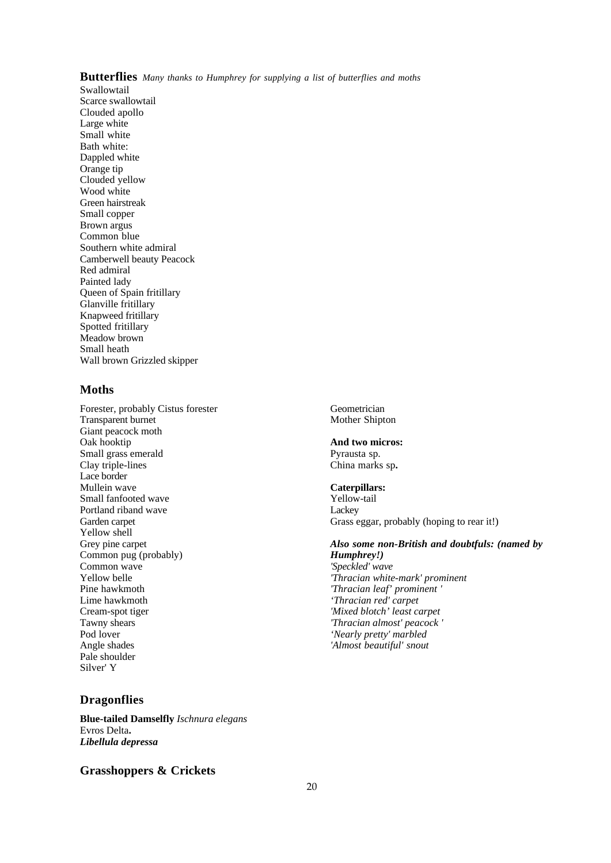### **Butterflies** *Many thanks to Humphrey for supplying a list of butterflies and moths*

Swallowtail Scarce swallowtail Clouded apollo Large white Small white Bath white: Dappled white Orange tip Clouded yellow Wood white Green hairstreak Small copper Brown argus Common blue Southern white admiral Camberwell beauty Peacock Red admiral Painted lady Queen of Spain fritillary Glanville fritillary Knapweed fritillary Spotted fritillary Meadow brown Small heath Wall brown Grizzled skipper

### **Moths**

Forester, probably Cistus forester Transparent burnet Giant peacock moth Oak hooktip Small grass emerald Clay triple-lines Lace border Mullein wave Small fanfooted wave Portland riband wave Garden carpet Yellow shell Grey pine carpet Common pug (probably) Common wave Yellow belle Pine hawkmoth Lime hawkmoth Cream-spot tiger Tawny shears Pod lover Angle shades Pale shoulder Silver' Y

### **Dragonflies**

**Blue-tailed Damselfly** *Ischnura elegans* Evros Delta**.** *Libellula depressa*

### **Grasshoppers & Crickets**

Geometrician Mother Shipton

### **And two micros:**

Pyrausta sp. China marks sp**.**

### **Caterpillars:**

Yellow-tail Lackey Grass eggar, probably (hoping to rear it!)

### *Also some non-British and doubtfuls: (named by Humphrey!) 'Speckled' wave 'Thracian white-mark' prominent*

*'Thracian leaf' prominent ' 'Thracian red' carpet 'Mixed blotch' least carpet 'Thracian almost' peacock ' 'Nearly pretty' marbled 'Almost beautiful' snout*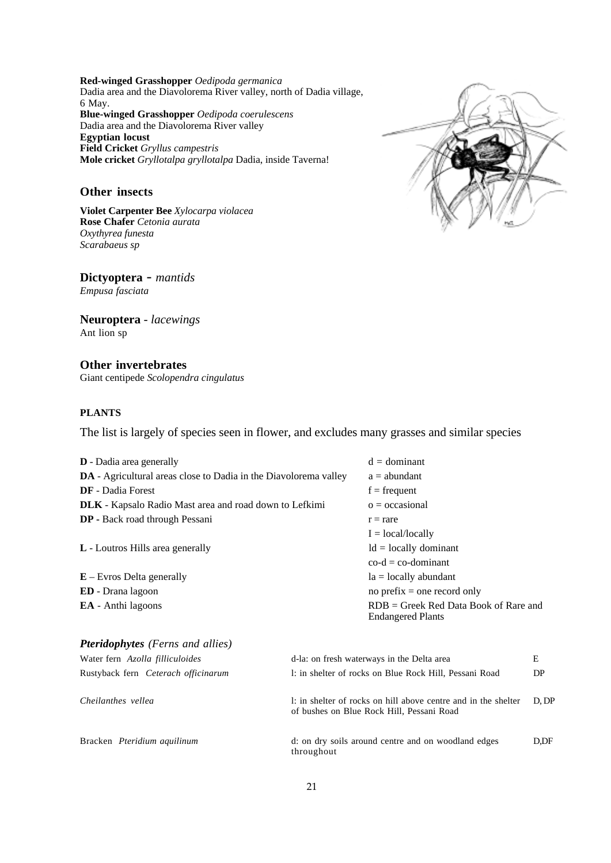**Red-winged Grasshopper** *Oedipoda germanica* Dadia area and the Diavolorema River valley, north of Dadia village, 6 May. **Blue-winged Grasshopper** *Oedipoda coerulescens* Dadia area and the Diavolorema River valley **Egyptian locust Field Cricket** *Gryllus campestris* **Mole cricket** *Gryllotalpa gryllotalpa* Dadia, inside Taverna!

### **Other insects**

**Violet Carpenter Bee** *Xylocarpa violacea* **Rose Chafer** *Cetonia aurata Oxythyrea funesta Scarabaeus sp*

**Dictyoptera** - *mantids Empusa fasciata*

**Neuroptera** - *lacewings* Ant lion sp

**Other invertebrates** Giant centipede *Scolopendra cingulatus*

### **PLANTS**

The list is largely of species seen in flower, and excludes many grasses and similar species

| <b>D</b> - Dadia area generally                                         | $d =$ dominant                                                      |
|-------------------------------------------------------------------------|---------------------------------------------------------------------|
| <b>DA</b> - Agricultural areas close to Dadia in the Diavolorema valley | $a =$ abundant                                                      |
| <b>DF</b> - Dadia Forest                                                | $f = frequency$                                                     |
| <b>DLK</b> - Kapsalo Radio Mast area and road down to Lefkimi           | $o = occasional$                                                    |
| <b>DP</b> - Back road through Pessani                                   | $r = rare$                                                          |
|                                                                         | $I = local/locally$                                                 |
| <b>L</b> - Loutros Hills area generally                                 | $Id = locally dominant$                                             |
|                                                                         | $\text{co-d} = \text{co-dominant}$                                  |
| $E -$ Evros Delta generally                                             | $la =$ locally abundant                                             |
| <b>ED</b> - Drana lagoon                                                | no prefix $=$ one record only                                       |
| <b>EA</b> - Anthi lagoons                                               | $RDB =$ Greek Red Data Book of Rare and<br><b>Endangered Plants</b> |
|                                                                         |                                                                     |

| <b>Pteridophytes</b> (Ferns and allies) |                                                                                                             |       |
|-----------------------------------------|-------------------------------------------------------------------------------------------------------------|-------|
| Water fern Azolla filliculoides         | d-la: on fresh waterways in the Delta area                                                                  | E     |
| Rustyback fern Ceterach officinarum     | 1: in shelter of rocks on Blue Rock Hill, Pessani Road                                                      | DP    |
| Cheilanthes vellea                      | 1: in shelter of rocks on hill above centre and in the shelter<br>of bushes on Blue Rock Hill, Pessani Road | D. DP |
| Bracken <i>Pteridium aquilinum</i>      | d: on dry soils around centre and on woodland edges<br>throughout                                           | D.DF  |

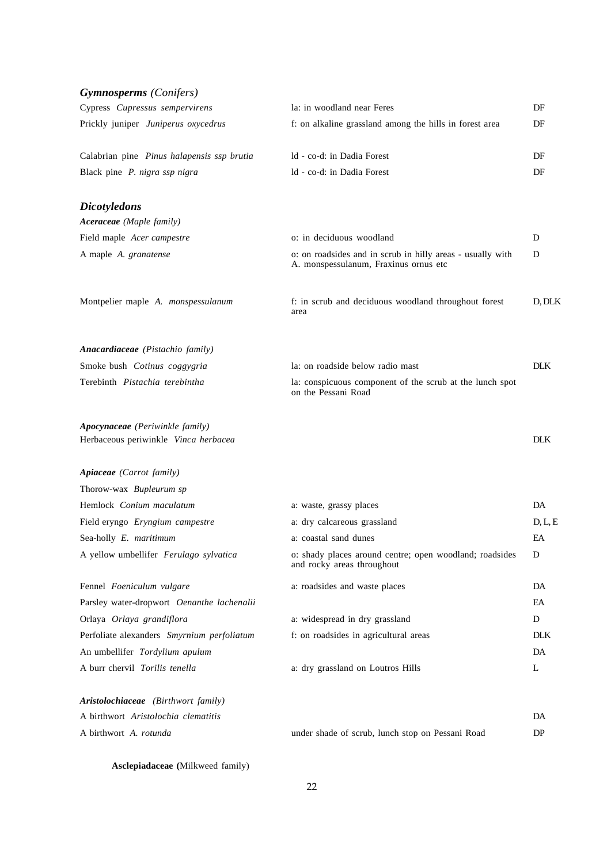| <b>Gymnosperms</b> (Conifers)                                           |                                                                                                     |            |
|-------------------------------------------------------------------------|-----------------------------------------------------------------------------------------------------|------------|
| Cypress Cupressus sempervirens                                          | la: in woodland near Feres                                                                          | DF         |
| Prickly juniper Juniperus oxycedrus                                     | f: on alkaline grassland among the hills in forest area                                             | DF         |
| Calabrian pine Pinus halapensis ssp brutia                              | ld - co-d: in Dadia Forest                                                                          | DF         |
| Black pine P. nigra ssp nigra                                           | ld - co-d: in Dadia Forest                                                                          | DF         |
| <b>Dicotyledons</b>                                                     |                                                                                                     |            |
| Aceraceae (Maple family)                                                |                                                                                                     |            |
| Field maple Acer campestre                                              | o: in deciduous woodland                                                                            | D          |
| A maple A. granatense                                                   | o: on roadsides and in scrub in hilly areas - usually with<br>A. monspessulanum, Fraxinus ornus etc | D          |
| Montpelier maple A. monspessulanum                                      | f: in scrub and deciduous woodland throughout forest<br>area                                        | D, DLK     |
| Anacardiaceae (Pistachio family)                                        |                                                                                                     |            |
| Smoke bush Cotinus coggygria                                            | la: on roadside below radio mast                                                                    | <b>DLK</b> |
| Terebinth Pistachia terebintha                                          | la: conspicuous component of the scrub at the lunch spot<br>on the Pessani Road                     |            |
| Apocynaceae (Periwinkle family)<br>Herbaceous periwinkle Vinca herbacea |                                                                                                     | <b>DLK</b> |
| Apiaceae (Carrot family)                                                |                                                                                                     |            |
| Thorow-wax Bupleurum sp                                                 |                                                                                                     |            |
| Hemlock Conium maculatum                                                | a: waste, grassy places                                                                             | DA         |
| Field eryngo Eryngium campestre                                         | a: dry calcareous grassland                                                                         | D, L, E    |
| Sea-holly E. maritimum                                                  | a: coastal sand dunes                                                                               | EA         |
| A yellow umbellifer Ferulago sylvatica                                  | o: shady places around centre; open woodland; roadsides<br>and rocky areas throughout               | D          |
| Fennel Foeniculum vulgare                                               | a: roadsides and waste places                                                                       | DA         |
| Parsley water-dropwort Oenanthe lachenalii                              |                                                                                                     | EA         |
| Orlaya Orlaya grandiflora                                               | a: widespread in dry grassland                                                                      | D          |
| Perfoliate alexanders Smyrnium perfoliatum                              | f: on roadsides in agricultural areas                                                               | <b>DLK</b> |
| An umbellifer Tordylium apulum                                          |                                                                                                     | DA         |
| A burr chervil Torilis tenella                                          | a: dry grassland on Loutros Hills                                                                   | L          |
| Aristolochiaceae (Birthwort family)                                     |                                                                                                     |            |
| A birthwort Aristolochia clematitis                                     |                                                                                                     | DA         |
| A birthwort A. rotunda                                                  | under shade of scrub, lunch stop on Pessani Road                                                    | DP         |

**Asclepiadaceae (**Milkweed family)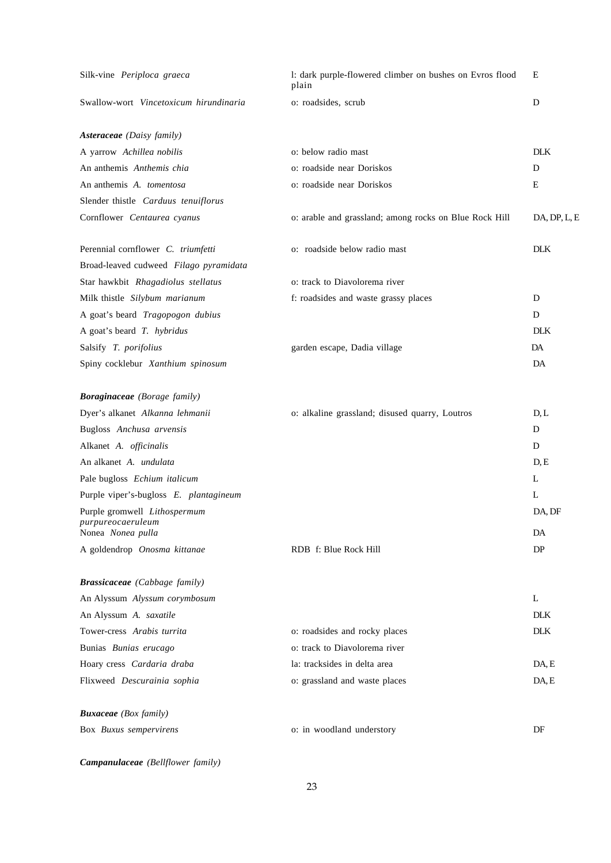| Silk-vine Periploca graeca                        | 1: dark purple-flowered climber on bushes on Evros flood<br>plain | Ε            |
|---------------------------------------------------|-------------------------------------------------------------------|--------------|
| Swallow-wort Vincetoxicum hirundinaria            | o: roadsides, scrub                                               | D            |
| Asteraceae (Daisy family)                         |                                                                   |              |
| A yarrow Achillea nobilis                         | o: below radio mast                                               | <b>DLK</b>   |
| An anthemis Anthemis chia                         | o: roadside near Doriskos                                         | D            |
| An anthemis A. tomentosa                          | o: roadside near Doriskos                                         | Ε            |
| Slender thistle Carduus tenuiflorus               |                                                                   |              |
| Cornflower Centaurea cyanus                       | o: arable and grassland; among rocks on Blue Rock Hill            | DA, DP, L, E |
| Perennial cornflower C. triumfetti                | o: roadside below radio mast                                      | <b>DLK</b>   |
| Broad-leaved cudweed Filago pyramidata            |                                                                   |              |
| Star hawkbit Rhagadiolus stellatus                | o: track to Diavolorema river                                     |              |
| Milk thistle Silybum marianum                     | f: roadsides and waste grassy places                              | D            |
| A goat's beard Tragopogon dubius                  |                                                                   | D            |
| A goat's beard T. hybridus                        |                                                                   | <b>DLK</b>   |
| Salsify T. porifolius                             | garden escape, Dadia village                                      | DA           |
| Spiny cocklebur Xanthium spinosum                 |                                                                   | DA           |
| Boraginaceae (Borage family)                      |                                                                   |              |
| Dyer's alkanet Alkanna lehmanii                   | o: alkaline grassland; disused quarry, Loutros                    | D, L         |
| Bugloss Anchusa arvensis                          |                                                                   | D            |
| Alkanet A. officinalis                            |                                                                   | D            |
| An alkanet A. undulata                            |                                                                   | D, E         |
| Pale bugloss Echium italicum                      |                                                                   | L            |
| Purple viper's-bugloss E. plantagineum            |                                                                   | L            |
| Purple gromwell Lithospermum<br>purpureocaeruleum |                                                                   | DA, DF       |
| Nonea Nonea pulla                                 |                                                                   | DA           |
| A goldendrop Onosma kittanae                      | RDB f: Blue Rock Hill                                             | DP           |
| <b>Brassicaceae</b> (Cabbage family)              |                                                                   |              |
| An Alyssum Alyssum corymbosum                     |                                                                   | L            |
| An Alyssum A. saxatile                            |                                                                   | <b>DLK</b>   |
| Tower-cress Arabis turrita                        | o: roadsides and rocky places                                     | <b>DLK</b>   |
| Bunias Bunias erucago                             | o: track to Diavolorema river                                     |              |
| Hoary cress Cardaria draba                        | la: tracksides in delta area                                      | DA, E        |
| Flixweed Descurainia sophia                       | o: grassland and waste places                                     | DA, E        |
| <b>Buxaceae</b> (Box family)                      |                                                                   |              |
| Box Buxus sempervirens                            | o: in woodland understory                                         | DF           |

*Campanulaceae (Bellflower family)*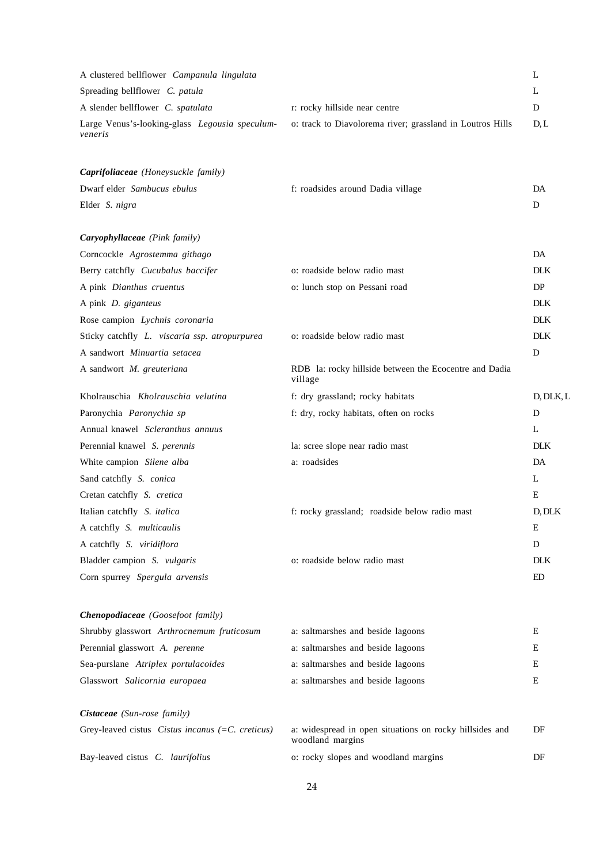| A clustered bellflower Campanula lingulata                         |                                                                             | L          |
|--------------------------------------------------------------------|-----------------------------------------------------------------------------|------------|
| Spreading bellflower C. patula                                     |                                                                             | L          |
| A slender bellflower C. spatulata                                  | r: rocky hillside near centre                                               | D          |
| Large Venus's-looking-glass Legousia speculum-<br>veneris          | o: track to Diavolorema river; grassland in Loutros Hills                   | D, L       |
| Caprifoliaceae (Honeysuckle family)                                |                                                                             |            |
| Dwarf elder Sambucus ebulus                                        | f: roadsides around Dadia village                                           | DA         |
| Elder S. nigra                                                     |                                                                             | D          |
| Caryophyllaceae (Pink family)                                      |                                                                             |            |
| Corncockle Agrostemma githago                                      |                                                                             | DA         |
| Berry catchfly Cucubalus baccifer                                  | o: roadside below radio mast                                                | <b>DLK</b> |
| A pink Dianthus cruentus                                           | o: lunch stop on Pessani road                                               | DP         |
| A pink <i>D. giganteus</i>                                         |                                                                             | <b>DLK</b> |
| Rose campion Lychnis coronaria                                     |                                                                             | DLK.       |
| Sticky catchfly L. viscaria ssp. atropurpurea                      | o: roadside below radio mast                                                | <b>DLK</b> |
| A sandwort Minuartia setacea                                       |                                                                             | D          |
| A sandwort M. greuteriana                                          | RDB la: rocky hillside between the Ecocentre and Dadia<br>village           |            |
| Kholrauschia Kholrauschia velutina                                 | f: dry grassland; rocky habitats                                            | D, DLK, L  |
| Paronychia Paronychia sp                                           | f: dry, rocky habitats, often on rocks                                      | D          |
| Annual knawel Scleranthus annuus                                   |                                                                             | L          |
| Perennial knawel S. perennis                                       | la: scree slope near radio mast                                             | <b>DLK</b> |
| White campion Silene alba                                          | a: roadsides                                                                | DA         |
| Sand catchfly S. conica                                            |                                                                             | L          |
| Cretan catchfly S. cretica                                         |                                                                             | E          |
| Italian catchfly S. italica                                        | f: rocky grassland; roadside below radio mast                               | D, DLK     |
| A catchfly S. multicaulis                                          |                                                                             | Ε          |
| A catchfly S. viridiflora                                          |                                                                             | D          |
| Bladder campion S. vulgaris                                        | o: roadside below radio mast                                                | <b>DLK</b> |
| Corn spurrey Spergula arvensis                                     |                                                                             | ED         |
| <b>Chenopodiaceae</b> (Goosefoot family)                           |                                                                             |            |
| Shrubby glasswort Arthrocnemum fruticosum                          | a: saltmarshes and beside lagoons                                           | Ε          |
| Perennial glasswort A. perenne                                     | a: saltmarshes and beside lagoons                                           | E          |
| Sea-purslane Atriplex portulacoides                                | a: saltmarshes and beside lagoons                                           | E          |
| Glasswort Salicornia europaea                                      | a: saltmarshes and beside lagoons                                           | Ε          |
| Cistaceae (Sun-rose family)                                        |                                                                             |            |
| Grey-leaved cistus <i>Cistus incanus</i> $(=C$ <i>. creticus</i> ) | a: widespread in open situations on rocky hillsides and<br>woodland margins | DF         |
| Bay-leaved cistus C. laurifolius                                   | o: rocky slopes and woodland margins                                        | DF         |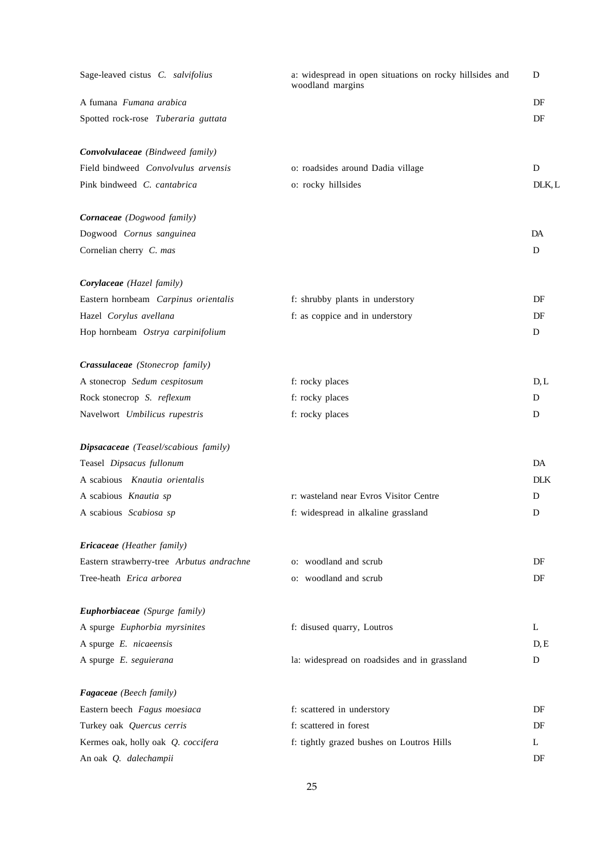| Sage-leaved cistus C. salvifolius         | a: widespread in open situations on rocky hillsides and<br>woodland margins | D          |
|-------------------------------------------|-----------------------------------------------------------------------------|------------|
| A fumana <i>Fumana arabica</i>            |                                                                             | DF         |
| Spotted rock-rose Tuberaria guttata       |                                                                             | DF         |
| Convolvulaceae (Bindweed family)          |                                                                             |            |
| Field bindweed Convolvulus arvensis       | o: roadsides around Dadia village                                           | D          |
| Pink bindweed C. cantabrica               | o: rocky hillsides                                                          | DLK, L     |
| Cornaceae (Dogwood family)                |                                                                             |            |
| Dogwood Cornus sanguinea                  |                                                                             | DA         |
| Cornelian cherry C. mas                   |                                                                             | D          |
| Corylaceae (Hazel family)                 |                                                                             |            |
| Eastern hornbeam Carpinus orientalis      | f: shrubby plants in understory                                             | DF         |
| Hazel Corylus avellana                    | f: as coppice and in understory                                             | DF         |
| Hop hornbeam Ostrya carpinifolium         |                                                                             | D          |
| Crassulaceae (Stonecrop family)           |                                                                             |            |
| A stonecrop Sedum cespitosum              | f: rocky places                                                             | D, L       |
| Rock stonecrop S. reflexum                | f: rocky places                                                             | D          |
| Navelwort Umbilicus rupestris             | f: rocky places                                                             | D          |
| Dipsacaceae (Teasel/scabious family)      |                                                                             |            |
| Teasel Dipsacus fullonum                  |                                                                             | DA         |
| A scabious Knautia orientalis             |                                                                             | <b>DLK</b> |
| A scabious Knautia sp                     | r: wasteland near Evros Visitor Centre                                      | D          |
| A scabious Scabiosa sp                    | f: widespread in alkaline grassland                                         | D          |
| <b>Ericaceae</b> (Heather family)         |                                                                             |            |
| Eastern strawberry-tree Arbutus andrachne | o: woodland and scrub                                                       | DF         |
| Tree-heath Erica arborea                  | o: woodland and scrub                                                       | DF         |
| Euphorbiaceae (Spurge family)             |                                                                             |            |
| A spurge Euphorbia myrsinites             | f: disused quarry, Loutros                                                  | L          |
| A spurge E. nicaeensis                    |                                                                             | D, E       |
| A spurge E. seguierana                    | la: widespread on roadsides and in grassland                                | D          |
| <b>Fagaceae</b> (Beech family)            |                                                                             |            |
| Eastern beech Fagus moesiaca              | f: scattered in understory                                                  | DF         |
| Turkey oak Quercus cerris                 | f: scattered in forest                                                      | DF         |
| Kermes oak, holly oak Q. coccifera        | f: tightly grazed bushes on Loutros Hills                                   | L          |
| An oak Q. dalechampii                     |                                                                             | DF         |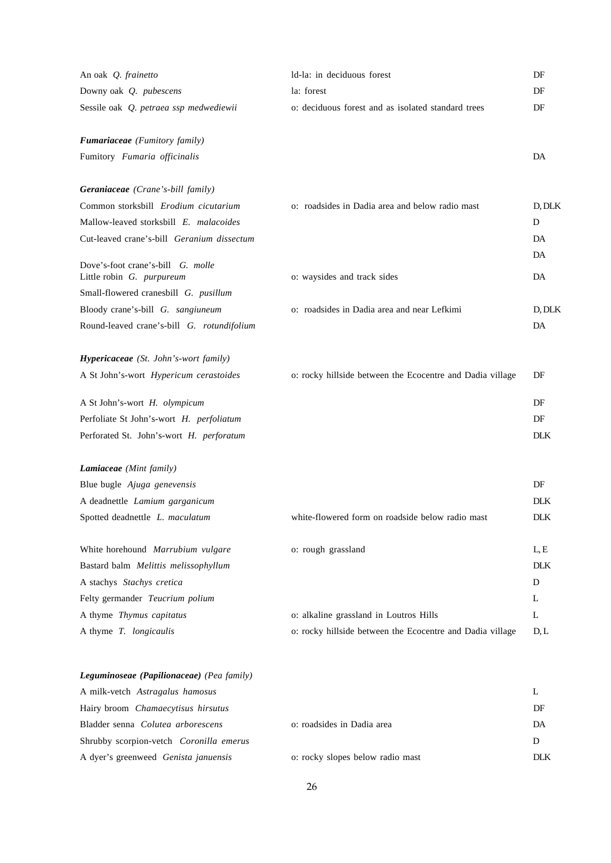| An oak Q. frainetto                          | Id-la: in deciduous forest                                | DF         |
|----------------------------------------------|-----------------------------------------------------------|------------|
| Downy oak Q. pubescens                       | la: forest                                                | DF         |
| Sessile oak Q. petraea ssp medwediewii       | o: deciduous forest and as isolated standard trees        | DF         |
| <b>Fumariaceae</b> (Fumitory family)         |                                                           |            |
| Fumitory Fumaria officinalis                 |                                                           | DA         |
| <b>Geraniaceae</b> (Crane's-bill family)     |                                                           |            |
| Common storksbill Erodium cicutarium         | o: roadsides in Dadia area and below radio mast           | D, DLK     |
| Mallow-leaved storksbill E. malacoides       |                                                           | D          |
| Cut-leaved crane's-bill Geranium dissectum   |                                                           | DA<br>DA   |
| Dove's-foot crane's-bill G. molle            |                                                           |            |
| Little robin G. purpureum                    | o: waysides and track sides                               | DA         |
| Small-flowered cranesbill G. pusillum        |                                                           |            |
| Bloody crane's-bill G. sangiuneum            | o: roadsides in Dadia area and near Lefkimi               | D, DLK     |
| Round-leaved crane's-bill G. rotundifolium   |                                                           | DA         |
| <b>Hypericaceae</b> (St. John's-wort family) |                                                           |            |
| A St John's-wort Hypericum cerastoides       | o: rocky hillside between the Ecocentre and Dadia village | DF         |
| A St John's-wort H. olympicum                |                                                           | DF         |
| Perfoliate St John's-wort H. perfoliatum     |                                                           | DF         |
| Perforated St. John's-wort H. perforatum     |                                                           | <b>DLK</b> |
| Lamiaceae (Mint family)                      |                                                           |            |
| Blue bugle Ajuga genevensis                  |                                                           | DF         |
| A deadnettle Lamium garganicum               |                                                           | <b>DLK</b> |
| Spotted deadnettle L. maculatum              | white-flowered form on roadside below radio mast          | <b>DLK</b> |
| White horehound Marrubium vulgare            | o: rough grassland                                        | L, E       |
| Bastard balm Melittis melissophyllum         |                                                           | <b>DLK</b> |
| A stachys Stachys cretica                    |                                                           | D          |
| Felty germander Teucrium polium              |                                                           | L          |
| A thyme Thymus capitatus                     | o: alkaline grassland in Loutros Hills                    | L          |
| A thyme T. longicaulis                       | o: rocky hillside between the Ecocentre and Dadia village | $D_{1}L$   |
| Leguminoseae (Papilionaceae) (Pea family)    |                                                           |            |

| A milk-vetch Astragalus hamosus                |                                  |     |
|------------------------------------------------|----------------------------------|-----|
| Hairy broom Chamaecytisus hirsutus             |                                  | DF  |
| Bladder senna <i>Colutea arborescens</i>       | o: roadsides in Dadia area       | DA  |
| Shrubby scorpion-vetch <i>Coronilla emerus</i> |                                  | D   |
| A dyer's greenweed <i>Genista januensis</i>    | o: rocky slopes below radio mast | DLK |
|                                                |                                  |     |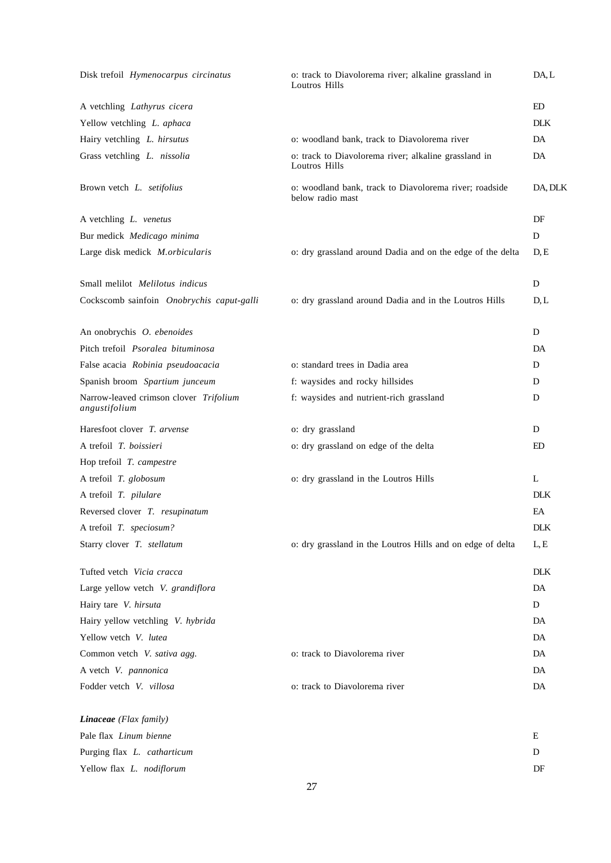| Disk trefoil Hymenocarpus circinatus                    | o: track to Diavolorema river; alkaline grassland in<br>Loutros Hills      | DA, L      |
|---------------------------------------------------------|----------------------------------------------------------------------------|------------|
| A vetchling Lathyrus cicera                             |                                                                            | ED         |
| Yellow vetchling L. aphaca                              |                                                                            | <b>DLK</b> |
| Hairy vetchling L. hirsutus                             | o: woodland bank, track to Diavolorema river                               | DA         |
| Grass vetchling L. nissolia                             | o: track to Diavolorema river; alkaline grassland in<br>Loutros Hills      | DA         |
| Brown vetch L. setifolius                               | o: woodland bank, track to Diavolorema river; roadside<br>below radio mast | DA, DLK    |
| A vetchling L. venetus                                  |                                                                            | DF         |
| Bur medick Medicago minima                              |                                                                            | D          |
| Large disk medick M.orbicularis                         | o: dry grassland around Dadia and on the edge of the delta                 | D, E       |
| Small melilot Melilotus indicus                         |                                                                            | D          |
| Cockscomb sainfoin Onobrychis caput-galli               | o: dry grassland around Dadia and in the Loutros Hills                     | D, L       |
| An onobrychis O. ebenoides                              |                                                                            | D          |
| Pitch trefoil Psoralea bituminosa                       |                                                                            | DA         |
| False acacia Robinia pseudoacacia                       | o: standard trees in Dadia area                                            | D          |
| Spanish broom Spartium junceum                          | f: waysides and rocky hillsides                                            | D          |
| Narrow-leaved crimson clover Trifolium<br>angustifolium | f: waysides and nutrient-rich grassland                                    | D          |
| Haresfoot clover T. arvense                             | o: dry grassland                                                           | D          |
| A trefoil T. boissieri                                  | o: dry grassland on edge of the delta                                      | ED         |
| Hop trefoil T. campestre                                |                                                                            |            |
| A trefoil T. globosum                                   | o: dry grassland in the Loutros Hills                                      | L          |
| A trefoil T. pilulare                                   |                                                                            | <b>DLK</b> |
| Reversed clover T. resupinatum                          |                                                                            | EA         |
| A trefoil T. speciosum?                                 |                                                                            | <b>DLK</b> |
| Starry clover T. stellatum                              | o: dry grassland in the Loutros Hills and on edge of delta                 | L, E       |
| Tufted vetch Vicia cracca                               |                                                                            | <b>DLK</b> |
| Large yellow vetch V. grandiflora                       |                                                                            | DA         |
|                                                         |                                                                            |            |
| Hairy tare V. hirsuta                                   |                                                                            | D          |
| Hairy yellow vetchling V. hybrida                       |                                                                            | DA         |
| Yellow vetch V. lutea                                   |                                                                            | DA         |
| Common vetch V. sativa agg.                             | o: track to Diavolorema river                                              | DA         |
| A vetch V. pannonica                                    |                                                                            | DA         |
| Fodder vetch V. villosa                                 | o: track to Diavolorema river                                              | DA         |
| Linaceae (Flax family)                                  |                                                                            |            |
| Pale flax Linum bienne                                  |                                                                            | Ε          |
| Purging flax L. catharticum                             |                                                                            | D          |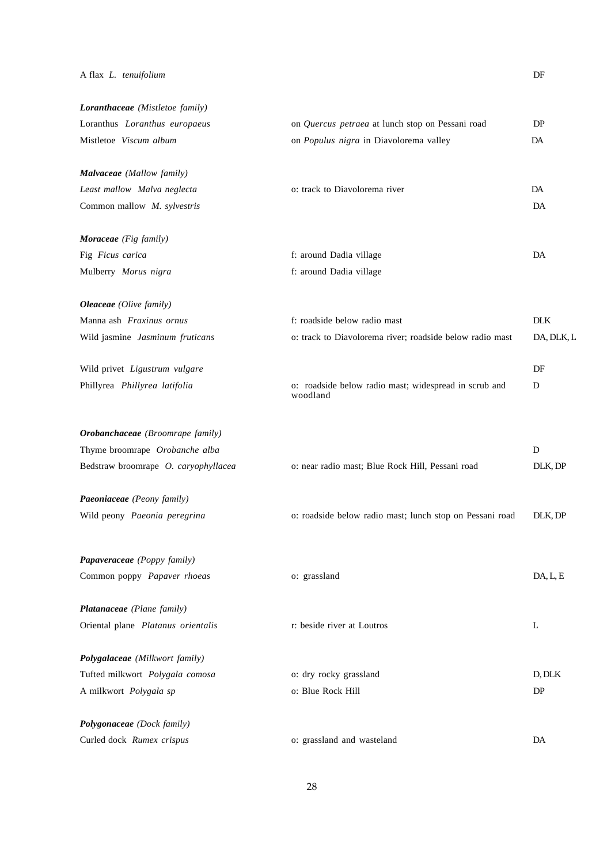### A flax *L. tenuifolium* DF

| Loranthaceae (Mistletoe family)      |                                                                   |            |
|--------------------------------------|-------------------------------------------------------------------|------------|
| Loranthus Loranthus europaeus        | on Quercus petraea at lunch stop on Pessani road                  | DP         |
| Mistletoe Viscum album               | on Populus nigra in Diavolorema valley                            | DA         |
| Malvaceae (Mallow family)            |                                                                   |            |
| Least mallow Malva neglecta          | o: track to Diavolorema river                                     | DA         |
| Common mallow M. sylvestris          |                                                                   | DA         |
| Moraceae (Fig family)                |                                                                   |            |
| Fig Ficus carica                     | f: around Dadia village                                           | DA         |
| Mulberry Morus nigra                 | f: around Dadia village                                           |            |
| <b>Oleaceae</b> (Olive family)       |                                                                   |            |
| Manna ash Fraxinus ornus             | f: roadside below radio mast                                      | <b>DLK</b> |
| Wild jasmine Jasminum fruticans      | o: track to Diavolorema river; roadside below radio mast          | DA, DLK, L |
| Wild privet Ligustrum vulgare        |                                                                   | DF         |
| Phillyrea Phillyrea latifolia        | o: roadside below radio mast; widespread in scrub and<br>woodland | D          |
| Orobanchaceae (Broomrape family)     |                                                                   |            |
| Thyme broomrape Orobanche alba       |                                                                   | D          |
| Bedstraw broomrape O. caryophyllacea | o: near radio mast; Blue Rock Hill, Pessani road                  | DLK, DP    |
| Paeoniaceae (Peony family)           |                                                                   |            |
| Wild peony Paeonia peregrina         | o: roadside below radio mast; lunch stop on Pessani road          | DLK, DP    |
| Papaveraceae (Poppy family)          |                                                                   |            |
| Common poppy Papaver rhoeas          | o: grassland                                                      | DA, L, E   |
| Platanaceae (Plane family)           |                                                                   |            |
| Oriental plane Platanus orientalis   | r: beside river at Loutros                                        | L          |
| Polygalaceae (Milkwort family)       |                                                                   |            |
| Tufted milkwort Polygala comosa      | o: dry rocky grassland                                            | D, DLK     |
| A milkwort Polygala sp               | o: Blue Rock Hill                                                 | DP         |
| Polygonaceae (Dock family)           |                                                                   |            |
| Curled dock Rumex crispus            | o: grassland and wasteland                                        | DA         |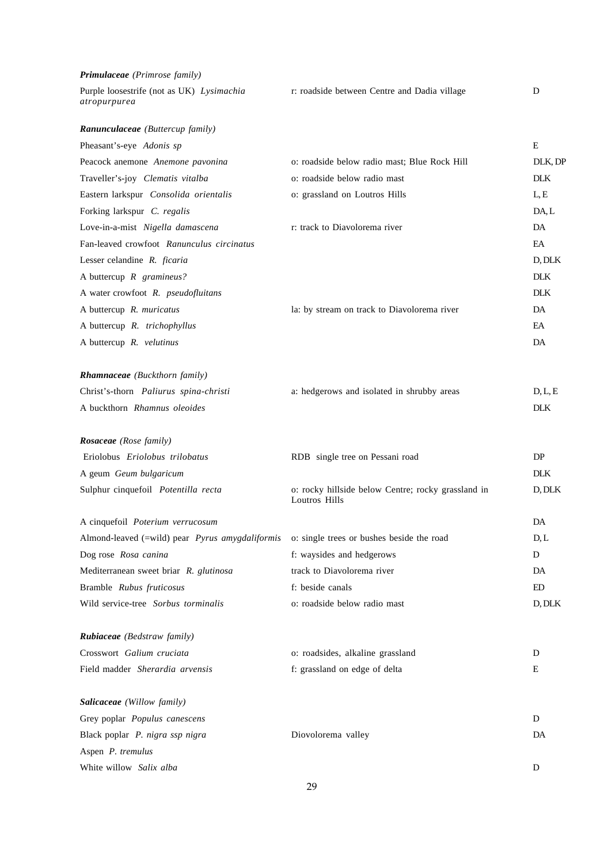| Primulaceae (Primrose family)                             |                                                                     |            |
|-----------------------------------------------------------|---------------------------------------------------------------------|------------|
| Purple loosestrife (not as UK) Lysimachia<br>atropurpurea | r: roadside between Centre and Dadia village                        | D          |
| Ranunculaceae (Buttercup family)                          |                                                                     |            |
| Pheasant's-eye Adonis sp                                  |                                                                     | E          |
| Peacock anemone Anemone pavonina                          | o: roadside below radio mast; Blue Rock Hill                        | DLK, DF    |
| Traveller's-joy Clematis vitalba                          | o: roadside below radio mast                                        | <b>DLK</b> |
| Eastern larkspur Consolida orientalis                     | o: grassland on Loutros Hills                                       | L, E       |
| Forking larkspur C. regalis                               |                                                                     | DA, L      |
| Love-in-a-mist Nigella damascena                          | r: track to Diavolorema river                                       | DA         |
| Fan-leaved crowfoot Ranunculus circinatus                 |                                                                     | EA         |
| Lesser celandine R. ficaria                               |                                                                     | D, DLK     |
| A buttercup $R$ gramineus?                                |                                                                     | <b>DLK</b> |
| A water crowfoot R. pseudofluitans                        |                                                                     | DLK.       |
| A buttercup R. muricatus                                  | la: by stream on track to Diavolorema river                         | DA         |
| A buttercup R. trichophyllus                              |                                                                     | EA         |
| A buttercup R. velutinus                                  |                                                                     | DA         |
| <b>Rhamnaceae</b> (Buckthorn family)                      |                                                                     |            |
| Christ's-thorn Paliurus spina-christi                     | a: hedgerows and isolated in shrubby areas                          | D, L, E    |
| A buckthorn Rhamnus oleoides                              |                                                                     | <b>DLK</b> |
| <b>Rosaceae</b> (Rose family)                             |                                                                     |            |
| Eriolobus Eriolobus trilobatus                            | RDB single tree on Pessani road                                     | DP         |
| A geum Geum bulgaricum                                    |                                                                     | <b>DLK</b> |
| Sulphur cinquefoil Potentilla recta                       | o: rocky hillside below Centre; rocky grassland in<br>Loutros Hills | D, DLK     |
| A cinquefoil Poterium verrucosum                          |                                                                     | DA         |
| Almond-leaved (=wild) pear Pyrus amygdaliformis           | o: single trees or bushes beside the road                           | D, L       |
| Dog rose Rosa canina                                      | f: waysides and hedgerows                                           | D          |
| Mediterranean sweet briar R. glutinosa                    | track to Diavolorema river                                          | DA         |
| Bramble Rubus fruticosus                                  | f: beside canals                                                    | ED         |
| Wild service-tree Sorbus torminalis                       | o: roadside below radio mast                                        | D, DLK     |
| <b>Rubiaceae</b> (Bedstraw family)                        |                                                                     |            |
| Crosswort Galium cruciata                                 | o: roadsides, alkaline grassland                                    | D          |
| Field madder Sherardia arvensis                           | f: grassland on edge of delta                                       | E          |
| Salicaceae (Willow family)                                |                                                                     |            |
| Grey poplar Populus canescens                             |                                                                     | D          |
| Black poplar P. nigra ssp nigra                           | Diovolorema valley                                                  | DA         |
| Aspen P. tremulus                                         |                                                                     |            |
| White willow Salix alba                                   |                                                                     | D          |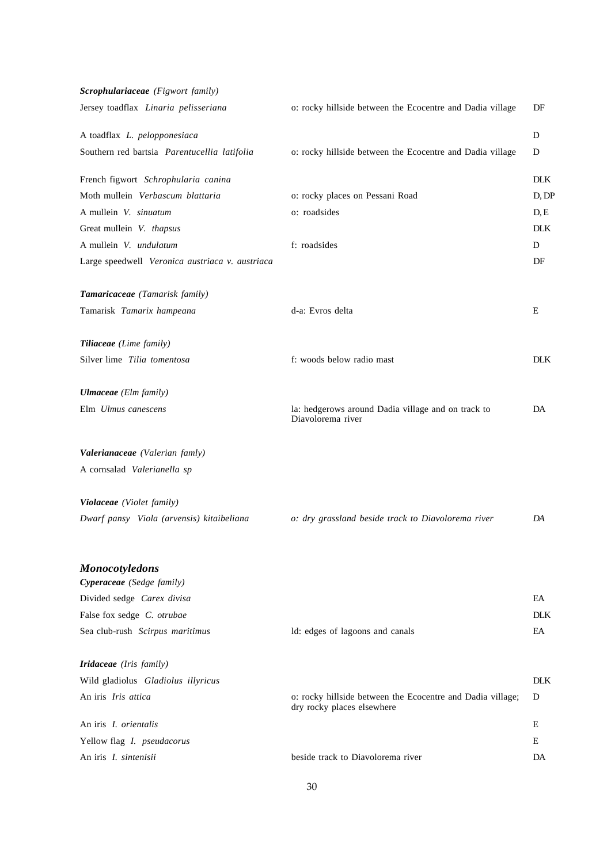| Scrophulariaceae (Figwort family)               |                                                                                          |            |
|-------------------------------------------------|------------------------------------------------------------------------------------------|------------|
| Jersey toadflax Linaria pelisseriana            | o: rocky hillside between the Ecocentre and Dadia village                                | DF         |
| A toadflax L. pelopponesiaca                    |                                                                                          | D          |
| Southern red bartsia Parentucellia latifolia    | o: rocky hillside between the Ecocentre and Dadia village                                | D          |
| French figwort Schrophularia canina             |                                                                                          | <b>DLK</b> |
| Moth mullein Verbascum blattaria                | o: rocky places on Pessani Road                                                          | D, DF      |
| A mullein V. sinuatum                           | o: roadsides                                                                             | D, E       |
| Great mullein V. thapsus                        |                                                                                          | <b>DLK</b> |
| A mullein V. undulatum                          | f: roadsides                                                                             | D          |
| Large speedwell Veronica austriaca v. austriaca |                                                                                          | DF         |
| Tamaricaceae (Tamarisk family)                  |                                                                                          |            |
| Tamarisk Tamarix hampeana                       | d-a: Evros delta                                                                         | E          |
| Tiliaceae (Lime family)                         |                                                                                          |            |
| Silver lime Tilia tomentosa                     | f: woods below radio mast                                                                | <b>DLK</b> |
| <b>Ulmaceae</b> (Elm family)                    |                                                                                          |            |
| Elm Ulmus canescens                             | la: hedgerows around Dadia village and on track to<br>Diavolorema river                  | DA         |
| Valerianaceae (Valerian famly)                  |                                                                                          |            |
| A cornsalad Valerianella sp                     |                                                                                          |            |
| Violaceae (Violet family)                       |                                                                                          |            |
| Dwarf pansy Viola (arvensis) kitaibeliana       | o: dry grassland beside track to Diavolorema river                                       | DA         |
| <b>Monocotyledons</b>                           |                                                                                          |            |
| Cyperaceae (Sedge family)                       |                                                                                          |            |
| Divided sedge Carex divisa                      |                                                                                          | EA         |
| False fox sedge C. otrubae                      |                                                                                          | <b>DLK</b> |
| Sea club-rush Scirpus maritimus                 | ld: edges of lagoons and canals                                                          | EA         |
| <b>Iridaceae</b> (Iris family)                  |                                                                                          |            |
| Wild gladiolus Gladiolus illyricus              |                                                                                          | <b>DLK</b> |
| An iris Iris attica                             | o: rocky hillside between the Ecocentre and Dadia village;<br>dry rocky places elsewhere | D          |
| An iris I. orientalis                           |                                                                                          | E          |
| Yellow flag <i>I. pseudacorus</i>               |                                                                                          | E          |
| An iris I. sintenisii                           | beside track to Diavolorema river                                                        | DA         |
|                                                 |                                                                                          |            |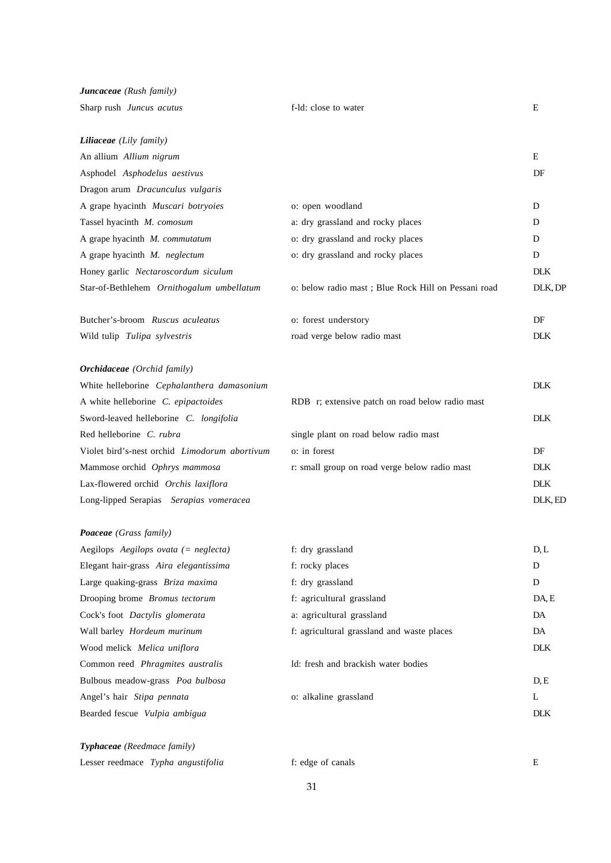| Juncaceae (Rush family)                       |                                                      |            |
|-----------------------------------------------|------------------------------------------------------|------------|
| Sharp rush Juncus acutus                      | f-ld: close to water                                 | E          |
| <b>Liliaceae</b> (Lily family)                |                                                      |            |
| An allium Allium nigrum                       |                                                      | E          |
| Asphodel Asphodelus aestivus                  |                                                      | DF         |
| Dragon arum Dracunculus vulgaris              |                                                      |            |
| A grape hyacinth Muscari botryoies            | o: open woodland                                     | D          |
| Tassel hyacinth M. comosum                    | a: dry grassland and rocky places                    | D          |
| A grape hyacinth M. commutatum                | o: dry grassland and rocky places                    | D          |
| A grape hyacinth M. neglectum                 | o: dry grassland and rocky places                    | D          |
| Honey garlic Nectaroscordum siculum           |                                                      | <b>DLK</b> |
| Star-of-Bethlehem Ornithogalum umbellatum     | o: below radio mast ; Blue Rock Hill on Pessani road | DLK, DP    |
| Butcher's-broom Ruscus aculeatus              | o: forest understory                                 | DF         |
| Wild tulip Tulipa sylvestris                  | road verge below radio mast                          | <b>DLK</b> |
| <b>Orchidaceae</b> (Orchid family)            |                                                      |            |
| White helleborine Cephalanthera damasonium    |                                                      | <b>DLK</b> |
| A white helleborine C. epipactoides           | RDB r; extensive patch on road below radio mast      |            |
| Sword-leaved helleborine C. longifolia        |                                                      | <b>DLK</b> |
| Red helleborine C. rubra                      | single plant on road below radio mast                |            |
| Violet bird's-nest orchid Limodorum abortivum | o: in forest                                         | DF         |
| Mammose orchid Ophrys mammosa                 | r: small group on road verge below radio mast        | <b>DLK</b> |
| Lax-flowered orchid Orchis laxiflora          |                                                      | <b>DLK</b> |
| Long-lipped Serapias Serapias vomeracea       |                                                      | DLK, ED    |
| Poaceae (Grass family)                        |                                                      |            |
| Aegilops Aegilops ovata (= neglecta)          | f: dry grassland                                     | D, L       |
| Elegant hair-grass Aira elegantissima         | f: rocky places                                      | D          |
| Large quaking-grass Briza maxima              | f: dry grassland                                     | D          |
| Drooping brome Bromus tectorum                | f: agricultural grassland                            | DA, E      |
| Cock's foot Dactylis glomerata                | a: agricultural grassland                            | DA         |
| Wall barley Hordeum murinum                   | f: agricultural grassland and waste places           | DA         |
| Wood melick Melica uniflora                   |                                                      | <b>DLK</b> |
| Common reed Phragmites australis              | ld: fresh and brackish water bodies                  |            |
| Bulbous meadow-grass Poa bulbosa              |                                                      | D, E       |
| Angel's hair Stipa pennata                    | o: alkaline grassland                                | L          |
| Bearded fescue Vulpia ambigua                 |                                                      | <b>DLK</b> |
| Typhaceae (Reedmace family)                   |                                                      |            |
| Lesser reedmace Typha angustifolia            | f: edge of canals                                    | E          |

31